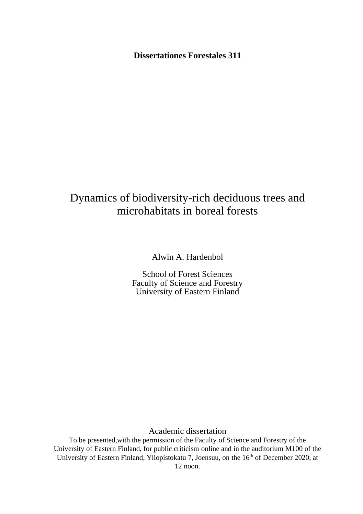**Dissertationes Forestales 311**

# Dynamics of biodiversity-rich deciduous trees and microhabitats in boreal forests

Alwin A. Hardenbol

School of Forest Sciences Faculty of Science and Forestry University of Eastern Finland

Academic dissertation

To be presented,with the permission of the Faculty of Science and Forestry of the University of Eastern Finland, for public criticism online and in the auditorium M100 of the University of Eastern Finland, Yliopistokatu 7, Joensuu, on the 16<sup>th</sup> of December 2020, at 12 noon.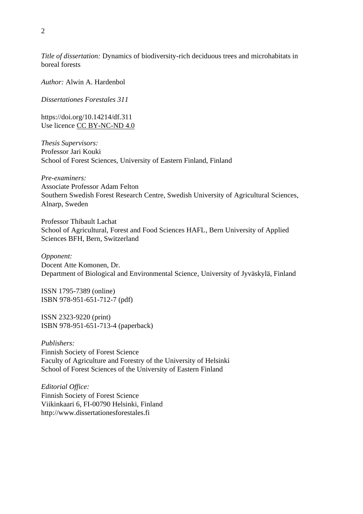*Title of dissertation:* Dynamics of biodiversity-rich deciduous trees and microhabitats in boreal forests

*Author:* Alwin A. Hardenbol

*Dissertationes Forestales 311*

https://doi.org/10.14214/df.311 Use licence [CC BY-NC-ND 4.0](http://creativecommons.org/licenses/by-nc-nd/4.0/)

*Thesis Supervisors:* Professor Jari Kouki School of Forest Sciences, University of Eastern Finland, Finland

*Pre-examiners:* Associate Professor Adam Felton Southern Swedish Forest Research Centre, Swedish University of Agricultural Sciences, Alnarp, Sweden

Professor Thibault Lachat School of Agricultural, Forest and Food Sciences HAFL, Bern University of Applied Sciences BFH, Bern, Switzerland

*Opponent:* Docent Atte Komonen, Dr. Department of Biological and Environmental Science, University of Jyväskylä, Finland

ISSN 1795-7389 (online) ISBN 978-951-651-712-7 (pdf)

ISSN 2323-9220 (print) ISBN 978-951-651-713-4 (paperback)

*Publishers:* Finnish Society of Forest Science Faculty of Agriculture and Forestry of the University of Helsinki School of Forest Sciences of the University of Eastern Finland

*Editorial Office:* Finnish Society of Forest Science Viikinkaari 6, FI-00790 Helsinki, Finland http://www.dissertationesforestales.fi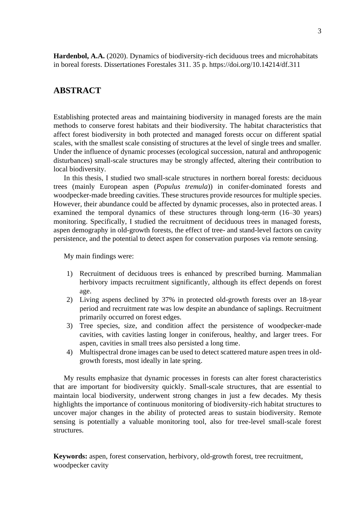**Hardenbol, A.A.** (2020). Dynamics of biodiversity-rich deciduous trees and microhabitats in boreal forests. Dissertationes Forestales 311. 35 p. https://doi.org/10.14214/df.311

### <span id="page-2-0"></span>**ABSTRACT**

Establishing protected areas and maintaining biodiversity in managed forests are the main methods to conserve forest habitats and their biodiversity. The habitat characteristics that affect forest biodiversity in both protected and managed forests occur on different spatial scales, with the smallest scale consisting of structures at the level of single trees and smaller. Under the influence of dynamic processes (ecological succession, natural and anthropogenic disturbances) small-scale structures may be strongly affected, altering their contribution to local biodiversity.

In this thesis, I studied two small-scale structures in northern boreal forests: deciduous trees (mainly European aspen (*Populus tremula*)) in conifer-dominated forests and woodpecker-made breeding cavities. These structures provide resources for multiple species. However, their abundance could be affected by dynamic processes, also in protected areas. I examined the temporal dynamics of these structures through long-term (16–30 years) monitoring. Specifically, I studied the recruitment of deciduous trees in managed forests, aspen demography in old-growth forests, the effect of tree- and stand-level factors on cavity persistence, and the potential to detect aspen for conservation purposes via remote sensing.

My main findings were:

- 1) Recruitment of deciduous trees is enhanced by prescribed burning. Mammalian herbivory impacts recruitment significantly, although its effect depends on forest age.
- 2) Living aspens declined by 37% in protected old-growth forests over an 18-year period and recruitment rate was low despite an abundance of saplings. Recruitment primarily occurred on forest edges.
- 3) Tree species, size, and condition affect the persistence of woodpecker-made cavities, with cavities lasting longer in coniferous, healthy, and larger trees. For aspen, cavities in small trees also persisted a long time.
- 4) Multispectral drone images can be used to detect scattered mature aspen trees in oldgrowth forests, most ideally in late spring.

My results emphasize that dynamic processes in forests can alter forest characteristics that are important for biodiversity quickly. Small-scale structures, that are essential to maintain local biodiversity, underwent strong changes in just a few decades. My thesis highlights the importance of continuous monitoring of biodiversity-rich habitat structures to uncover major changes in the ability of protected areas to sustain biodiversity. Remote sensing is potentially a valuable monitoring tool, also for tree-level small-scale forest structures.

**Keywords:** aspen, forest conservation, herbivory, old-growth forest, tree recruitment, woodpecker cavity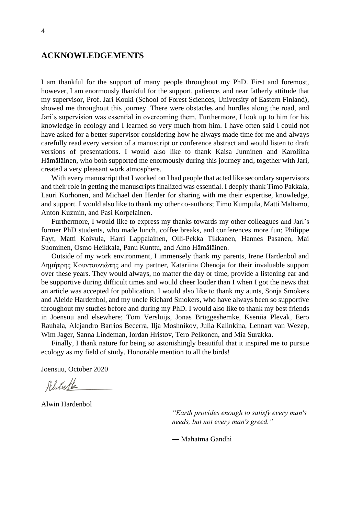### <span id="page-3-0"></span>**ACKNOWLEDGEMENTS**

I am thankful for the support of many people throughout my PhD. First and foremost, however, I am enormously thankful for the support, patience, and near fatherly attitude that my supervisor, Prof. Jari Kouki (School of Forest Sciences, University of Eastern Finland), showed me throughout this journey. There were obstacles and hurdles along the road, and Jari's supervision was essential in overcoming them. Furthermore, I look up to him for his knowledge in ecology and I learned so very much from him. I have often said I could not have asked for a better supervisor considering how he always made time for me and always carefully read every version of a manuscript or conference abstract and would listen to draft versions of presentations. I would also like to thank Kaisa Junninen and Karoliina Hämäläinen, who both supported me enormously during this journey and, together with Jari, created a very pleasant work atmosphere.

With every manuscript that I worked on I had people that acted like secondary supervisors and their role in getting the manuscripts finalized was essential. I deeply thank Timo Pakkala, Lauri Korhonen, and Michael den Herder for sharing with me their expertise, knowledge, and support. I would also like to thank my other co-authors; Timo Kumpula, Matti Maltamo, Anton Kuzmin, and Pasi Korpelainen.

Furthermore, I would like to express my thanks towards my other colleagues and Jari's former PhD students, who made lunch, coffee breaks, and conferences more fun; Philippe Fayt, Matti Koivula, Harri Lappalainen, Olli-Pekka Tikkanen, Hannes Pasanen, Mai Suominen, Osmo Heikkala, Panu Kunttu, and Aino Hämäläinen.

Outside of my work environment, I immensely thank my parents, Irene Hardenbol and Δημήτρης Κουντουνιώτης and my partner, Katariina Ohenoja for their invaluable support over these years. They would always, no matter the day or time, provide a listening ear and be supportive during difficult times and would cheer louder than I when I got the news that an article was accepted for publication. I would also like to thank my aunts, Sonja Smokers and Aleide Hardenbol, and my uncle Richard Smokers, who have always been so supportive throughout my studies before and during my PhD. I would also like to thank my best friends in Joensuu and elsewhere; Tom Versluijs, Jonas Brüggeshemke, Kseniia Plevak, Eero Rauhala, Alejandro Barrios Becerra, Ilja Moshnikov, Julia Kalinkina, Lennart van Wezep, Wim Jager, Sanna Lindeman, Iordan Hristov, Tero Pelkonen, and Mia Surakka.

Finally, I thank nature for being so astonishingly beautiful that it inspired me to pursue ecology as my field of study. Honorable mention to all the birds!

Joensuu, October 2020

Alwinte

Alwin Hardenbol

*"Earth provides enough to satisfy every man's needs, but not every man's greed."* 

― Mahatma Gandhi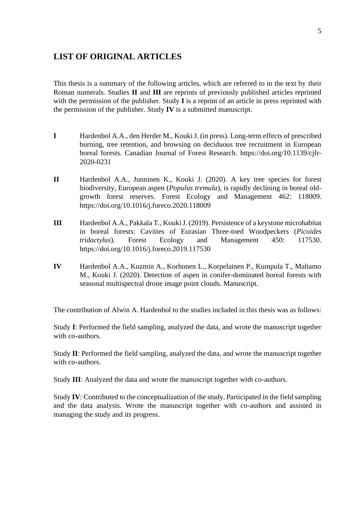### <span id="page-4-0"></span>**LIST OF ORIGINAL ARTICLES**

This thesis is a summary of the following articles, which are referred to in the text by their Roman numerals. Studies **II** and **Ⅲ** are reprints of previously published articles reprinted with the permission of the publisher. Study **I** is a reprint of an article in press reprinted with the permission of the publisher. Study **IV** is a submitted manuscript.

- **I** Hardenbol A.A., den Herder M., Kouki J. (in press). Long-term effects of prescribed burning, tree retention, and browsing on deciduous tree recruitment in European boreal forests. Canadian Journal of Forest Research. https://doi.org/10.1139/cjfr-2020-0231
- **II** Hardenbol A.A., Junninen K., Kouki J. (2020). A key tree species for forest biodiversity, European aspen (*Populus tremula*), is rapidly declining in boreal oldgrowth forest reserves. Forest Ecology and Management 462: 118009. https://doi.org/10.1016/j.foreco.2020.118009
- **III** Hardenbol A.A., Pakkala T., Kouki J. (2019). Persistence of a keystone microhabitat in boreal forests: Cavities of Eurasian Three-toed Woodpeckers (*Picoides tridactylus*). Forest Ecology and Management 450: 117530. https://doi.org/10.1016/j.foreco.2019.117530
- **IV** Hardenbol A.A., Kuzmin A., Korhonen L., Korpelainen P., Kumpula T., Maltamo M., Kouki J. (2020). Detection of aspen in conifer-dominated boreal forests with seasonal multispectral drone image point clouds. Manuscript.

The contribution of Alwin A. Hardenbol to the studies included in this thesis was as follows:

Study **I**: Performed the field sampling, analyzed the data, and wrote the manuscript together with co-authors.

Study **II**: Performed the field sampling, analyzed the data, and wrote the manuscript together with co-authors.

Study **III**: Analyzed the data and wrote the manuscript together with co-authors.

Study **IV**: Contributed to the conceptualization of the study. Participated in the field sampling and the data analysis. Wrote the manuscript together with co-authors and assisted in managing the study and its progress.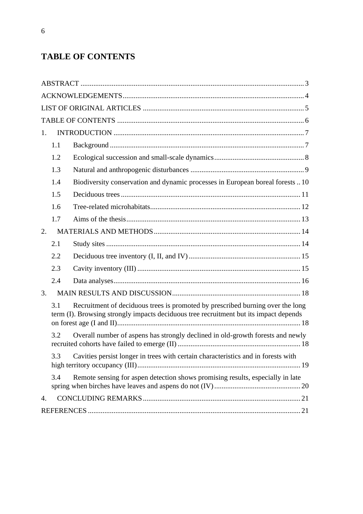## <span id="page-5-0"></span>**TABLE OF CONTENTS**

| 1.             |     |                                                                                                                                                                         |
|----------------|-----|-------------------------------------------------------------------------------------------------------------------------------------------------------------------------|
|                | 1.1 |                                                                                                                                                                         |
|                | 1.2 |                                                                                                                                                                         |
|                | 1.3 |                                                                                                                                                                         |
|                | 1.4 | Biodiversity conservation and dynamic processes in European boreal forests  10                                                                                          |
|                | 1.5 |                                                                                                                                                                         |
|                | 1.6 |                                                                                                                                                                         |
|                | 1.7 |                                                                                                                                                                         |
| 2.             |     |                                                                                                                                                                         |
|                | 2.1 |                                                                                                                                                                         |
|                | 2.2 |                                                                                                                                                                         |
|                | 2.3 |                                                                                                                                                                         |
|                | 2.4 |                                                                                                                                                                         |
| $\mathcal{E}$  |     |                                                                                                                                                                         |
|                | 3.1 | Recruitment of deciduous trees is promoted by prescribed burning over the long<br>term (I). Browsing strongly impacts deciduous tree recruitment but its impact depends |
|                | 3.2 | Overall number of aspens has strongly declined in old-growth forests and newly                                                                                          |
|                | 3.3 | Cavities persist longer in trees with certain characteristics and in forests with                                                                                       |
|                | 3.4 | Remote sensing for aspen detection shows promising results, especially in late                                                                                          |
| $\overline{4}$ |     |                                                                                                                                                                         |
|                |     |                                                                                                                                                                         |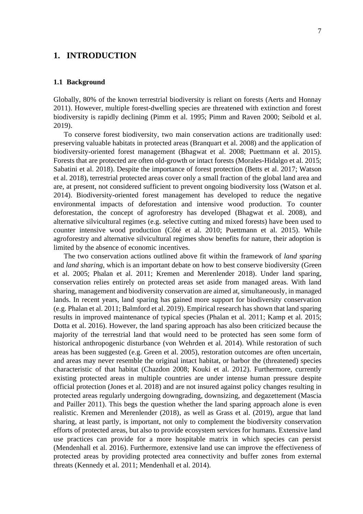### <span id="page-6-0"></span>**1. INTRODUCTION**

#### <span id="page-6-1"></span>**1.1 Background**

Globally, 80% of the known terrestrial biodiversity is reliant on forests (Aerts and Honnay 2011). However, multiple forest-dwelling species are threatened with extinction and forest biodiversity is rapidly declining (Pimm et al. 1995; Pimm and Raven 2000; Seibold et al. 2019).

To conserve forest biodiversity, two main conservation actions are traditionally used: preserving valuable habitats in protected areas (Branquart et al. 2008) and the application of biodiversity-oriented forest management (Bhagwat et al. 2008; Puettmann et al. 2015). Forests that are protected are often old-growth or intact forests (Morales-Hidalgo et al. 2015; Sabatini et al. 2018). Despite the importance of forest protection (Betts et al. 2017; Watson et al. 2018), terrestrial protected areas cover only a small fraction of the global land area and are, at present, not considered sufficient to prevent ongoing biodiversity loss (Watson et al. 2014). Biodiversity-oriented forest management has developed to reduce the negative environmental impacts of deforestation and intensive wood production. To counter deforestation, the concept of agroforestry has developed (Bhagwat et al. 2008), and alternative silvicultural regimes (e.g. selective cutting and mixed forests) have been used to counter intensive wood production (Côté et al. 2010; Puettmann et al. 2015). While agroforestry and alternative silvicultural regimes show benefits for nature, their adoption is limited by the absence of economic incentives.

The two conservation actions outlined above fit within the framework of *land sparing* and *land sharing*, which is an important debate on how to best conserve biodiversity (Green et al. 2005; Phalan et al. 2011; Kremen and Merenlender 2018). Under land sparing, conservation relies entirely on protected areas set aside from managed areas. With land sharing, management and biodiversity conservation are aimed at, simultaneously, in managed lands. In recent years, land sparing has gained more support for biodiversity conservation (e.g. Phalan et al. 2011; Balmford et al. 2019). Empirical research has shown that land sparing results in improved maintenance of typical species (Phalan et al. 2011; Kamp et al. 2015; Dotta et al. 2016). However, the land sparing approach has also been criticized because the majority of the terrestrial land that would need to be protected has seen some form of historical anthropogenic disturbance (von Wehrden et al. 2014). While restoration of such areas has been suggested (e.g. Green et al. 2005), restoration outcomes are often uncertain, and areas may never resemble the original intact habitat, or harbor the (threatened) species characteristic of that habitat (Chazdon 2008; Kouki et al. 2012). Furthermore, currently existing protected areas in multiple countries are under intense human pressure despite official protection (Jones et al. 2018) and are not insured against policy changes resulting in protected areas regularly undergoing downgrading, downsizing, and degazettement (Mascia and Pailler 2011). This begs the question whether the land sparing approach alone is even realistic. Kremen and Merenlender (2018), as well as Grass et al. (2019), argue that land sharing, at least partly, is important, not only to complement the biodiversity conservation efforts of protected areas, but also to provide ecosystem services for humans. Extensive land use practices can provide for a more hospitable matrix in which species can persist (Mendenhall et al. 2016). Furthermore, extensive land use can improve the effectiveness of protected areas by providing protected area connectivity and buffer zones from external threats (Kennedy et al. 2011; Mendenhall et al. 2014).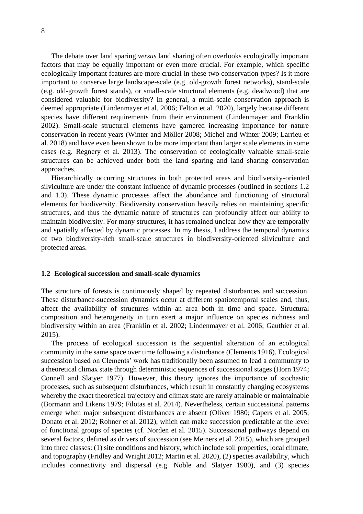The debate over land sparing *versus* land sharing often overlooks ecologically important factors that may be equally important or even more crucial. For example, which specific ecologically important features are more crucial in these two conservation types? Is it more important to conserve large landscape-scale (e.g. old-growth forest networks), stand-scale (e.g. old-growth forest stands), or small-scale structural elements (e.g. deadwood) that are considered valuable for biodiversity? In general, a multi-scale conservation approach is deemed appropriate (Lindenmayer et al. 2006; Felton et al. 2020), largely because different species have different requirements from their environment (Lindenmayer and Franklin 2002). Small-scale structural elements have garnered increasing importance for nature conservation in recent years (Winter and Möller 2008; Michel and Winter 2009; Larrieu et al. 2018) and have even been shown to be more important than larger scale elements in some cases (e.g. Regnery et al. 2013). The conservation of ecologically valuable small-scale structures can be achieved under both the land sparing and land sharing conservation approaches.

Hierarchically occurring structures in both protected areas and biodiversity-oriented silviculture are under the constant influence of dynamic processes (outlined in sections 1.2 and 1.3). These dynamic processes affect the abundance and functioning of structural elements for biodiversity. Biodiversity conservation heavily relies on maintaining specific structures, and thus the dynamic nature of structures can profoundly affect our ability to maintain biodiversity. For many structures, it has remained unclear how they are temporally and spatially affected by dynamic processes. In my thesis, I address the temporal dynamics of two biodiversity-rich small-scale structures in biodiversity-oriented silviculture and protected areas.

#### <span id="page-7-0"></span>**1.2 Ecological succession and small-scale dynamics**

The structure of forests is continuously shaped by repeated disturbances and succession. These disturbance-succession dynamics occur at different spatiotemporal scales and, thus, affect the availability of structures within an area both in time and space. Structural composition and heterogeneity in turn exert a major influence on species richness and biodiversity within an area (Franklin et al. 2002; Lindenmayer et al. 2006; Gauthier et al. 2015).

The process of ecological succession is the sequential alteration of an ecological community in the same space over time following a disturbance (Clements 1916). Ecological succession based on Clements' work has traditionally been assumed to lead a community to a theoretical climax state through deterministic sequences of successional stages (Horn 1974; Connell and Slatyer 1977). However, this theory ignores the importance of stochastic processes, such as subsequent disturbances, which result in constantly changing ecosystems whereby the exact theoretical trajectory and climax state are rarely attainable or maintainable (Bormann and Likens 1979; Filotas et al. 2014). Nevertheless, certain successional patterns emerge when major subsequent disturbances are absent (Oliver 1980; Capers et al. 2005; Donato et al. 2012; Rohner et al. 2012), which can make succession predictable at the level of functional groups of species (cf. Norden et al. 2015). Successional pathways depend on several factors, defined as drivers of succession (see Meiners et al. 2015), which are grouped into three classes: (1) site conditions and history, which include soil properties, local climate, and topography (Fridley and Wright 2012; Martin et al. 2020), (2) species availability, which includes connectivity and dispersal (e.g. Noble and Slatyer 1980), and (3) species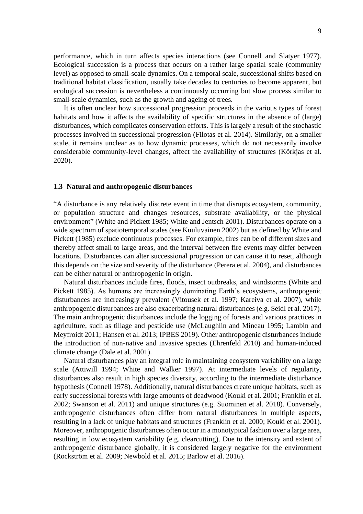performance, which in turn affects species interactions (see Connell and Slatyer 1977). Ecological succession is a process that occurs on a rather large spatial scale (community level) as opposed to small-scale dynamics. On a temporal scale, successional shifts based on traditional habitat classification, usually take decades to centuries to become apparent, but ecological succession is nevertheless a continuously occurring but slow process similar to small-scale dynamics, such as the growth and ageing of trees.

It is often unclear how successional progression proceeds in the various types of forest habitats and how it affects the availability of specific structures in the absence of (large) disturbances, which complicates conservation efforts. This is largely a result of the stochastic processes involved in successional progression (Filotas et al. 2014). Similarly, on a smaller scale, it remains unclear as to how dynamic processes, which do not necessarily involve considerable community-level changes, affect the availability of structures (Kõrkjas et al. 2020).

#### <span id="page-8-0"></span>**1.3 Natural and anthropogenic disturbances**

"A disturbance is any relatively discrete event in time that disrupts ecosystem, community, or population structure and changes resources, substrate availability, or the physical environment" (White and Pickett 1985; White and Jentsch 2001). Disturbances operate on a wide spectrum of spatiotemporal scales (see Kuuluvainen 2002) but as defined by White and Pickett (1985) exclude continuous processes. For example, fires can be of different sizes and thereby affect small to large areas, and the interval between fire events may differ between locations. Disturbances can alter successional progression or can cause it to reset, although this depends on the size and severity of the disturbance (Perera et al. 2004), and disturbances can be either natural or anthropogenic in origin.

Natural disturbances include fires, floods, insect outbreaks, and windstorms (White and Pickett 1985). As humans are increasingly dominating Earth's ecosystems, anthropogenic disturbances are increasingly prevalent (Vitousek et al. 1997; Kareiva et al. 2007), while anthropogenic disturbances are also exacerbating natural disturbances (e.g. Seidl et al. 2017). The main anthropogenic disturbances include the logging of forests and various practices in agriculture, such as tillage and pesticide use (McLaughlin and Mineau 1995; Lambin and Meyfroidt 2011; Hansen et al. 2013; IPBES 2019). Other anthropogenic disturbances include the introduction of non-native and invasive species (Ehrenfeld 2010) and human-induced climate change (Dale et al. 2001).

Natural disturbances play an integral role in maintaining ecosystem variability on a large scale (Attiwill 1994; White and Walker 1997). At intermediate levels of regularity, disturbances also result in high species diversity, according to the intermediate disturbance hypothesis (Connell 1978). Additionally, natural disturbances create unique habitats, such as early successional forests with large amounts of deadwood (Kouki et al. 2001; Franklin et al. 2002; Swanson et al. 2011) and unique structures (e.g. Suominen et al. 2018). Conversely, anthropogenic disturbances often differ from natural disturbances in multiple aspects, resulting in a lack of unique habitats and structures (Franklin et al. 2000; Kouki et al. 2001). Moreover, anthropogenic disturbances often occur in a monotypical fashion over a large area, resulting in low ecosystem variability (e.g. clearcutting). Due to the intensity and extent of anthropogenic disturbance globally, it is considered largely negative for the environment (Rockström et al. 2009; Newbold et al. 2015; Barlow et al. 2016).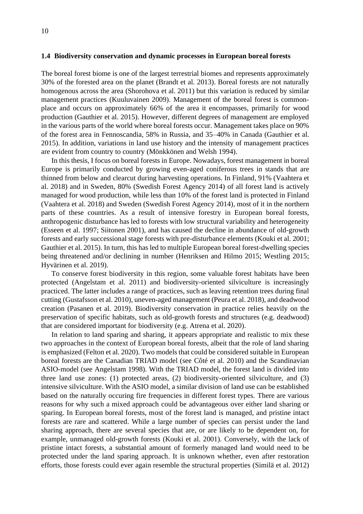#### <span id="page-9-0"></span>**1.4 Biodiversity conservation and dynamic processes in European boreal forests**

The boreal forest biome is one of the largest terrestrial biomes and represents approximately 30% of the forested area on the planet (Brandt et al. 2013). Boreal forests are not naturally homogenous across the area (Shorohova et al. 2011) but this variation is reduced by similar management practices (Kuuluvainen 2009). Management of the boreal forest is commonplace and occurs on approximately 66% of the area it encompasses, primarily for wood production (Gauthier et al. 2015). However, different degrees of management are employed in the various parts of the world where boreal forests occur. Management takes place on 90% of the forest area in Fennoscandia, 58% in Russia, and 35–40% in Canada (Gauthier et al. 2015). In addition, variations in land use history and the intensity of management practices are evident from country to country (Mönkkönen and Welsh 1994).

In this thesis, I focus on boreal forests in Europe. Nowadays, forest management in boreal Europe is primarily conducted by growing even-aged coniferous trees in stands that are thinned from below and clearcut during harvesting operations. In Finland, 91% (Vaahtera et al. 2018) and in Sweden, 80% (Swedish Forest Agency 2014) of all forest land is actively managed for wood production, while less than 10% of the forest land is protected in Finland (Vaahtera et al. 2018) and Sweden (Swedish Forest Agency 2014), most of it in the northern parts of these countries. As a result of intensive forestry in European boreal forests, anthropogenic disturbance has led to forests with low structural variability and heterogeneity (Esseen et al. 1997; Siitonen 2001), and has caused the decline in abundance of old-growth forests and early successional stage forests with pre-disturbance elements (Kouki et al. 2001; Gauthier et al. 2015). In turn, this has led to multiple European boreal forest-dwelling species being threatened and/or declining in number (Henriksen and Hilmo 2015; Westling 2015; Hyvärinen et al. 2019).

To conserve forest biodiversity in this region, some valuable forest habitats have been protected (Angelstam et al. 2011) and biodiversity-oriented silviculture is increasingly practiced. The latter includes a range of practices, such as leaving retention trees during final cutting (Gustafsson et al. 2010), uneven-aged management (Peura et al. 2018), and deadwood creation (Pasanen et al. 2019). Biodiversity conservation in practice relies heavily on the preservation of specific habitats, such as old-growth forests and structures (e.g. deadwood) that are considered important for biodiversity (e.g. Atrena et al. 2020).

In relation to land sparing and sharing, it appears appropriate and realistic to mix these two approaches in the context of European boreal forests, albeit that the role of land sharing is emphasized (Felton et al. 2020). Two models that could be considered suitable in European boreal forests are the Canadian TRIAD model (see Côté et al. 2010) and the Scandinavian ASIO-model (see Angelstam 1998). With the TRIAD model, the forest land is divided into three land use zones: (1) protected areas, (2) biodiversity-oriented silviculture, and (3) intensive silviculture. With the ASIO model, a similar division of land use can be established based on the naturally occuring fire frequencies in different forest types. There are various reasons for why such a mixed approach could be advantageous over either land sharing or sparing. In European boreal forests, most of the forest land is managed, and pristine intact forests are rare and scattered. While a large number of species can persist under the land sharing approach, there are several species that are, or are likely to be dependent on, for example, unmanaged old-growth forests (Kouki et al. 2001). Conversely, with the lack of pristine intact forests, a substantial amount of formerly managed land would need to be protected under the land sparing approach. It is unknown whether, even after restoration efforts, those forests could ever again resemble the structural properties (Similä et al. 2012)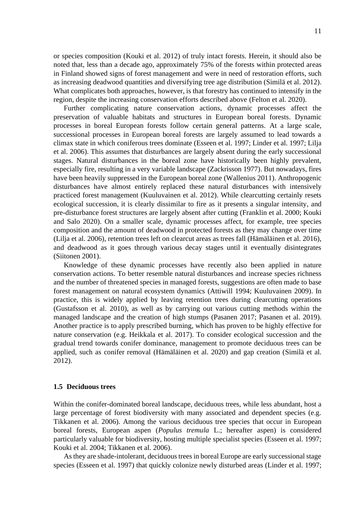or species composition (Kouki et al. 2012) of truly intact forests. Herein, it should also be noted that, less than a decade ago, approximately 75% of the forests within protected areas in Finland showed signs of forest management and were in need of restoration efforts, such as increasing deadwood quantities and diversifying tree age distribution (Similä et al. 2012). What complicates both approaches, however, is that forestry has continued to intensify in the region, despite the increasing conservation efforts described above (Felton et al. 2020).

Further complicating nature conservation actions, dynamic processes affect the preservation of valuable habitats and structures in European boreal forests. Dynamic processes in boreal European forests follow certain general patterns. At a large scale, successional processes in European boreal forests are largely assumed to lead towards a climax state in which coniferous trees dominate (Esseen et al. 1997; Linder et al. 1997; Lilja et al. 2006). This assumes that disturbances are largely absent during the early successional stages. Natural disturbances in the boreal zone have historically been highly prevalent, especially fire, resulting in a very variable landscape (Zackrisson 1977). But nowadays, fires have been heavily suppressed in the European boreal zone (Wallenius 2011). Anthropogenic disturbances have almost entirely replaced these natural disturbances with intensively practiced forest management (Kuuluvainen et al. 2012). While clearcutting certainly resets ecological succession, it is clearly dissimilar to fire as it presents a singular intensity, and pre-disturbance forest structures are largely absent after cutting (Franklin et al. 2000; Kouki and Salo 2020). On a smaller scale, dynamic processes affect, for example, tree species composition and the amount of deadwood in protected forests as they may change over time (Lilja et al. 2006), retention trees left on clearcut areas as trees fall (Hämäläinen et al. 2016), and deadwood as it goes through various decay stages until it eventually disintegrates (Siitonen 2001).

Knowledge of these dynamic processes have recently also been applied in nature conservation actions. To better resemble natural disturbances and increase species richness and the number of threatened species in managed forests, suggestions are often made to base forest management on natural ecosystem dynamics (Attiwill 1994; Kuuluvainen 2009). In practice, this is widely applied by leaving retention trees during clearcutting operations (Gustafsson et al. 2010), as well as by carrying out various cutting methods within the managed landscape and the creation of high stumps (Pasanen 2017; Pasanen et al. 2019). Another practice is to apply prescribed burning, which has proven to be highly effective for nature conservation (e.g. Heikkala et al. 2017). To consider ecological succession and the gradual trend towards conifer dominance, management to promote deciduous trees can be applied, such as conifer removal (Hämäläinen et al. 2020) and gap creation (Similä et al. 2012).

#### <span id="page-10-0"></span>**1.5 Deciduous trees**

Within the conifer-dominated boreal landscape, deciduous trees, while less abundant, host a large percentage of forest biodiversity with many associated and dependent species (e.g. Tikkanen et al. 2006). Among the various deciduous tree species that occur in European boreal forests, European aspen (*Populus tremula* L.; hereafter aspen) is considered particularly valuable for biodiversity, hosting multiple specialist species (Esseen et al. 1997; Kouki et al. 2004; Tikkanen et al. 2006).

As they are shade-intolerant, deciduous trees in boreal Europe are early successional stage species (Esseen et al. 1997) that quickly colonize newly disturbed areas (Linder et al. 1997;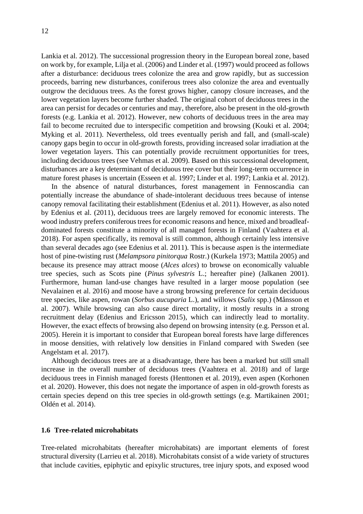Lankia et al. 2012). The successional progression theory in the European boreal zone, based on work by, for example, Lilja et al. (2006) and Linder et al. (1997) would proceed as follows after a disturbance: deciduous trees colonize the area and grow rapidly, but as succession proceeds, barring new disturbances, coniferous trees also colonize the area and eventually outgrow the deciduous trees. As the forest grows higher, canopy closure increases, and the lower vegetation layers become further shaded. The original cohort of deciduous trees in the area can persist for decades or centuries and may, therefore, also be present in the old-growth forests (e.g. Lankia et al. 2012). However, new cohorts of deciduous trees in the area may fail to become recruited due to interspecific competition and browsing (Kouki et al. 2004; Myking et al. 2011). Nevertheless, old trees eventually perish and fall, and (small-scale) canopy gaps begin to occur in old-growth forests, providing increased solar irradiation at the lower vegetation layers. This can potentially provide recruitment opportunities for trees, including deciduous trees (see Vehmas et al. 2009). Based on this successional development, disturbances are a key determinant of deciduous tree cover but their long-term occurrence in mature forest phases is uncertain (Esseen et al. 1997; Linder et al. 1997; Lankia et al. 2012).

In the absence of natural disturbances, forest management in Fennoscandia can potentially increase the abundance of shade-intolerant deciduous trees because of intense canopy removal facilitating their establishment (Edenius et al. 2011). However, as also noted by Edenius et al. (2011), deciduous trees are largely removed for economic interests. The wood industry prefers coniferous trees for economic reasons and hence, mixed and broadleafdominated forests constitute a minority of all managed forests in Finland (Vaahtera et al. 2018). For aspen specifically, its removal is still common, although certainly less intensive than several decades ago (see Edenius et al. 2011). This is because aspen is the intermediate host of pine-twisting rust (*Melampsora pinitorqua* Rostr.) (Kurkela 1973; Mattila 2005) and because its presence may attract moose (*Alces alces*) to browse on economically valuable tree species, such as Scots pine (*Pinus sylvestris* L.; hereafter pine) (Jalkanen 2001). Furthermore, human land-use changes have resulted in a larger moose population (see Nevalainen et al. 2016) and moose have a strong browsing preference for certain deciduous tree species, like aspen, rowan (*Sorbus aucuparia* L.), and willows (*Salix* spp.) (Månsson et al. 2007). While browsing can also cause direct mortality, it mostly results in a strong recruitment delay (Edenius and Ericsson 2015), which can indirectly lead to mortality. However, the exact effects of browsing also depend on browsing intensity (e.g. Persson et al. 2005). Herein it is important to consider that European boreal forests have large differences in moose densities, with relatively low densities in Finland compared with Sweden (see Angelstam et al. 2017).

Although deciduous trees are at a disadvantage, there has been a marked but still small increase in the overall number of deciduous trees (Vaahtera et al. 2018) and of large deciduous trees in Finnish managed forests (Henttonen et al. 2019), even aspen (Korhonen et al. 2020). However, this does not negate the importance of aspen in old-growth forests as certain species depend on this tree species in old-growth settings (e.g. Martikainen 2001; Oldén et al. 2014).

### <span id="page-11-0"></span>**1.6 Tree-related microhabitats**

Tree-related microhabitats (hereafter microhabitats) are important elements of forest structural diversity (Larrieu et al. 2018). Microhabitats consist of a wide variety of structures that include cavities, epiphytic and epixylic structures, tree injury spots, and exposed wood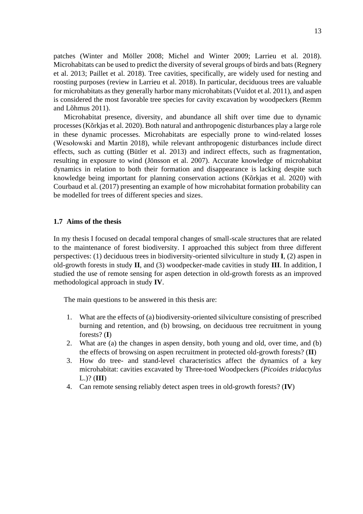patches (Winter and Möller 2008; Michel and Winter 2009; Larrieu et al. 2018). Microhabitats can be used to predict the diversity of several groups of birds and bats (Regnery et al. 2013; Paillet et al. 2018). Tree cavities, specifically, are widely used for nesting and roosting purposes (review in Larrieu et al. 2018). In particular, deciduous trees are valuable for microhabitats as they generally harbor many microhabitats (Vuidot et al. 2011), and aspen is considered the most favorable tree species for cavity excavation by woodpeckers (Remm and Lõhmus 2011).

Microhabitat presence, diversity, and abundance all shift over time due to dynamic processes (Kõrkjas et al. 2020). Both natural and anthropogenic disturbances play a large role in these dynamic processes. Microhabitats are especially prone to wind-related losses (Wesołowski and Martin 2018), while relevant anthropogenic disturbances include direct effects, such as cutting (Bütler et al. 2013) and indirect effects, such as fragmentation, resulting in exposure to wind (Jönsson et al. 2007). Accurate knowledge of microhabitat dynamics in relation to both their formation and disappearance is lacking despite such knowledge being important for planning conservation actions (Kõrkjas et al. 2020) with Courbaud et al. (2017) presenting an example of how microhabitat formation probability can be modelled for trees of different species and sizes.

### <span id="page-12-0"></span>**1.7 Aims of the thesis**

In my thesis I focused on decadal temporal changes of small-scale structures that are related to the maintenance of forest biodiversity. I approached this subject from three different perspectives: (1) deciduous trees in biodiversity-oriented silviculture in study **I**, (2) aspen in old-growth forests in study **II**, and (3) woodpecker-made cavities in study **III**. In addition, I studied the use of remote sensing for aspen detection in old-growth forests as an improved methodological approach in study **IV**.

The main questions to be answered in this thesis are:

- 1. What are the effects of (a) biodiversity-oriented silviculture consisting of prescribed burning and retention, and (b) browsing, on deciduous tree recruitment in young forests? (**I**)
- 2. What are (a) the changes in aspen density, both young and old, over time, and (b) the effects of browsing on aspen recruitment in protected old-growth forests? (**II**)
- 3. How do tree- and stand-level characteristics affect the dynamics of a key microhabitat: cavities excavated by Three-toed Woodpeckers (*Picoides tridactylus* L.)? (**III**)
- 4. Can remote sensing reliably detect aspen trees in old-growth forests? (**IV**)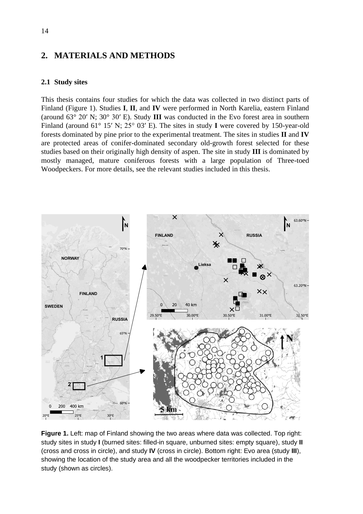### <span id="page-13-0"></span>**2. MATERIALS AND METHODS**

#### <span id="page-13-1"></span>**2.1 Study sites**

This thesis contains four studies for which the data was collected in two distinct parts of Finland (Figure 1). Studies **I**, **II**, and **IV** were performed in North Karelia, eastern Finland (around 63° 20ʹ N; 30° 30ʹ E). Study **III** was conducted in the Evo forest area in southern Finland (around 61° 15′ N; 25° 03′ E). The sites in study **I** were covered by 150-year-old forests dominated by pine prior to the experimental treatment. The sites in studies **II** and **IV** are protected areas of conifer-dominated secondary old-growth forest selected for these studies based on their originally high density of aspen. The site in study **III** is dominated by mostly managed, mature coniferous forests with a large population of Three-toed Woodpeckers. For more details, see the relevant studies included in this thesis.



**Figure 1.** Left: map of Finland showing the two areas where data was collected. Top right: study sites in study **I** (burned sites: filled-in square, unburned sites: empty square), study **II** (cross and cross in circle), and study **IV** (cross in circle). Bottom right: Evo area (study **III**), showing the location of the study area and all the woodpecker territories included in the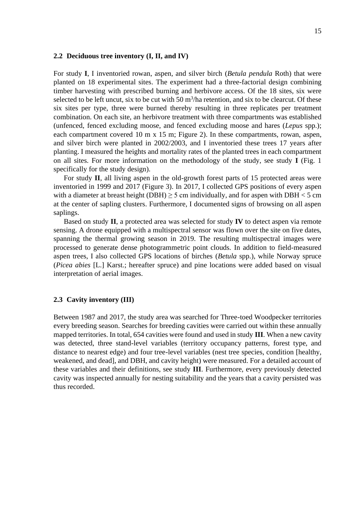#### <span id="page-14-0"></span>**2.2 Deciduous tree inventory (I, II, and IV)**

For study **I**, I inventoried rowan, aspen, and silver birch (*Betula pendula* Roth) that were planted on 18 experimental sites. The experiment had a three-factorial design combining timber harvesting with prescribed burning and herbivore access. Of the 18 sites, six were selected to be left uncut, six to be cut with  $50 \text{ m}^3/\text{ha}$  retention, and six to be clearcut. Of these six sites per type, three were burned thereby resulting in three replicates per treatment combination. On each site, an herbivore treatment with three compartments was established (unfenced, fenced excluding moose, and fenced excluding moose and hares (*Lepus* spp.); each compartment covered 10 m  $x$  15 m; Figure 2). In these compartments, rowan, aspen, and silver birch were planted in 2002/2003, and I inventoried these trees 17 years after planting. I measured the heights and mortality rates of the planted trees in each compartment on all sites. For more information on the methodology of the study, see study **I** (Fig. 1 specifically for the study design).

For study **II**, all living aspen in the old-growth forest parts of 15 protected areas were inventoried in 1999 and 2017 (Figure 3). In 2017, I collected GPS positions of every aspen with a diameter at breast height (DBH)  $\geq$  5 cm individually, and for aspen with DBH  $<$  5 cm at the center of sapling clusters. Furthermore, I documented signs of browsing on all aspen saplings.

Based on study **II**, a protected area was selected for study **IV** to detect aspen via remote sensing. A drone equipped with a multispectral sensor was flown over the site on five dates, spanning the thermal growing season in 2019. The resulting multispectral images were processed to generate dense photogrammetric point clouds. In addition to field-measured aspen trees, I also collected GPS locations of birches (*Betula* spp.), while Norway spruce (*Picea abies* [L.] Karst.; hereafter spruce) and pine locations were added based on visual interpretation of aerial images.

#### <span id="page-14-1"></span>**2.3 Cavity inventory (III)**

Between 1987 and 2017, the study area was searched for Three-toed Woodpecker territories every breeding season. Searches for breeding cavities were carried out within these annually mapped territories. In total, 654 cavities were found and used in study **III**. When a new cavity was detected, three stand-level variables (territory occupancy patterns, forest type, and distance to nearest edge) and four tree-level variables (nest tree species, condition [healthy, weakened, and dead], and DBH, and cavity height) were measured. For a detailed account of these variables and their definitions, see study **III**. Furthermore, every previously detected cavity was inspected annually for nesting suitability and the years that a cavity persisted was thus recorded.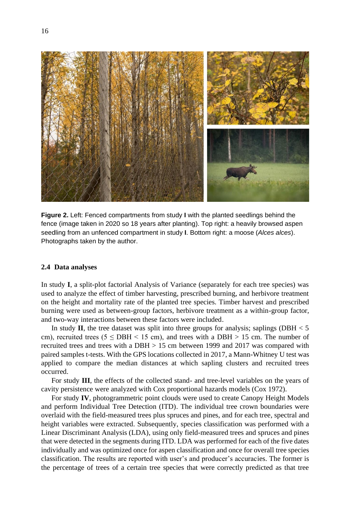

**Figure 2.** Left: Fenced compartments from study **I** with the planted seedlings behind the fence (image taken in 2020 so 18 years after planting). Top right: a heavily browsed aspen seedling from an unfenced compartment in study **I**. Bottom right: a moose (*Alces alces*). Photographs taken by the author.

### <span id="page-15-0"></span>**2.4 Data analyses**

In study **I**, a split-plot factorial Analysis of Variance (separately for each tree species) was used to analyze the effect of timber harvesting, prescribed burning, and herbivore treatment on the height and mortality rate of the planted tree species. Timber harvest and prescribed burning were used as between-group factors, herbivore treatment as a within-group factor, and two-way interactions between these factors were included.

In study **II**, the tree dataset was split into three groups for analysis; saplings (DBH  $\lt$  5 cm), recruited trees ( $5 \leq DBH \leq 15$  cm), and trees with a DBH  $> 15$  cm. The number of recruited trees and trees with a DBH > 15 cm between 1999 and 2017 was compared with paired samples t-tests. With the GPS locations collected in 2017, a Mann-Whitney U test was applied to compare the median distances at which sapling clusters and recruited trees occurred.

For study **III**, the effects of the collected stand- and tree-level variables on the years of cavity persistence were analyzed with Cox proportional hazards models (Cox 1972).

For study **IV**, photogrammetric point clouds were used to create Canopy Height Models and perform Individual Tree Detection (ITD). The individual tree crown boundaries were overlaid with the field-measured trees plus spruces and pines, and for each tree, spectral and height variables were extracted. Subsequently, species classification was performed with a Linear Discriminant Analysis (LDA), using only field-measured trees and spruces and pines that were detected in the segments during ITD. LDA was performed for each of the five dates individually and was optimized once for aspen classification and once for overall tree species classification. The results are reported with user's and producer's accuracies. The former is the percentage of trees of a certain tree species that were correctly predicted as that tree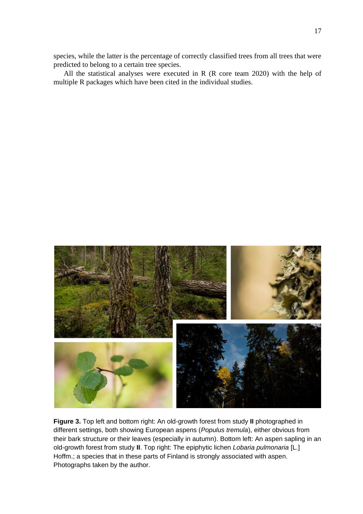species, while the latter is the percentage of correctly classified trees from all trees that were predicted to belong to a certain tree species.

All the statistical analyses were executed in R (R core team 2020) with the help of multiple R packages which have been cited in the individual studies.



**Figure 3.** Top left and bottom right: An old-growth forest from study **II** photographed in different settings, both showing European aspens (*Populus tremula*), either obvious from their bark structure or their leaves (especially in autumn). Bottom left: An aspen sapling in an old-growth forest from study **II**. Top right: The epiphytic lichen *Lobaria pulmonaria* [L.] Hoffm.; a species that in these parts of Finland is strongly associated with aspen. Photographs taken by the author.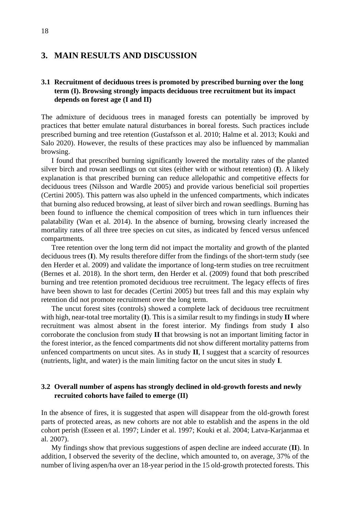### <span id="page-17-0"></span>**3. MAIN RESULTS AND DISCUSSION**

### <span id="page-17-1"></span>**3.1 Recruitment of deciduous trees is promoted by prescribed burning over the long term (I). Browsing strongly impacts deciduous tree recruitment but its impact depends on forest age (I and II)**

The admixture of deciduous trees in managed forests can potentially be improved by practices that better emulate natural disturbances in boreal forests. Such practices include prescribed burning and tree retention (Gustafsson et al. 2010; Halme et al. 2013; Kouki and Salo 2020). However, the results of these practices may also be influenced by mammalian browsing.

I found that prescribed burning significantly lowered the mortality rates of the planted silver birch and rowan seedlings on cut sites (either with or without retention) (**I**). A likely explanation is that prescribed burning can reduce allelopathic and competitive effects for deciduous trees (Nilsson and Wardle 2005) and provide various beneficial soil properties (Certini 2005). This pattern was also upheld in the unfenced compartments, which indicates that burning also reduced browsing, at least of silver birch and rowan seedlings. Burning has been found to influence the chemical composition of trees which in turn influences their palatability (Wan et al. 2014). In the absence of burning, browsing clearly increased the mortality rates of all three tree species on cut sites, as indicated by fenced versus unfenced compartments.

Tree retention over the long term did not impact the mortality and growth of the planted deciduous trees (**I**). My results therefore differ from the findings of the short-term study (see den Herder et al. 2009) and validate the importance of long-term studies on tree recruitment (Bernes et al. 2018). In the short term, den Herder et al. (2009) found that both prescribed burning and tree retention promoted deciduous tree recruitment. The legacy effects of fires have been shown to last for decades (Certini 2005) but trees fall and this may explain why retention did not promote recruitment over the long term.

The uncut forest sites (controls) showed a complete lack of deciduous tree recruitment with high, near-total tree mortality (**I**). This is a similar result to my findings in study **II** where recruitment was almost absent in the forest interior. My findings from study **I** also corroborate the conclusion from study **II** that browsing is not an important limiting factor in the forest interior, as the fenced compartments did not show different mortality patterns from unfenced compartments on uncut sites. As in study  $\mathbf{II}$ , I suggest that a scarcity of resources (nutrients, light, and water) is the main limiting factor on the uncut sites in study **I**.

### <span id="page-17-2"></span>**3.2 Overall number of aspens has strongly declined in old-growth forests and newly recruited cohorts have failed to emerge (II)**

In the absence of fires, it is suggested that aspen will disappear from the old-growth forest parts of protected areas, as new cohorts are not able to establish and the aspens in the old cohort perish (Esseen et al. 1997; Linder et al. 1997; Kouki et al. 2004; Latva-Karjanmaa et al. 2007).

My findings show that previous suggestions of aspen decline are indeed accurate (**II**). In addition, I observed the severity of the decline, which amounted to, on average, 37% of the number of living aspen/ha over an 18-year period in the 15 old-growth protected forests. This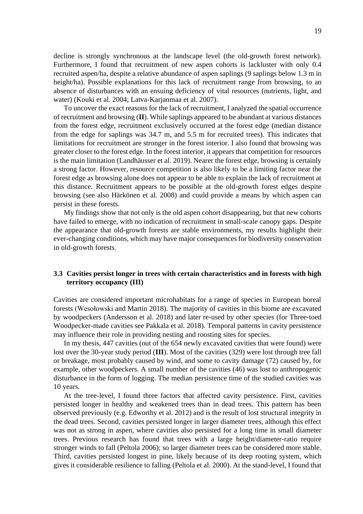decline is strongly synchronous at the landscape level (the old-growth forest network). Furthermore, I found that recruitment of new aspen cohorts is lackluster with only 0.4 recruited aspen/ha, despite a relative abundance of aspen saplings (9 saplings below 1.3 m in height/ha). Possible explanations for this lack of recruitment range from browsing, to an absence of disturbances with an ensuing deficiency of vital resources (nutrients, light, and water) (Kouki et al. 2004; Latva-Karjanmaa et al. 2007).

To uncover the exact reasons for the lack of recruitment, I analyzed the spatial occurrence of recruitment and browsing (**II**). While saplings appeared to be abundant at various distances from the forest edge, recruitment exclusively occurred at the forest edge (median distance from the edge for saplings was 34.7 m, and 5.5 m for recruited trees). This indicates that limitations for recruitment are stronger in the forest interior. I also found that browsing was greater closer to the forest edge. In the forest interior, it appears that competition for resources is the main limitation (Landhäusser et al. 2019). Nearer the forest edge, browsing is certainly a strong factor. However, resource competition is also likely to be a limiting factor near the forest edge as browsing alone does not appear to be able to explain the lack of recruitment at this distance. Recruitment appears to be possible at the old-growth forest edges despite browsing (see also Härkönen et al. 2008) and could provide a means by which aspen can persist in these forests.

My findings show that not only is the old aspen cohort disappearing, but that new cohorts have failed to emerge, with no indication of recruitment in small-scale canopy gaps. Despite the appearance that old-growth forests are stable environments, my results highlight their ever-changing conditions, which may have major consequences for biodiversity conservation in old-growth forests.

### <span id="page-18-0"></span>**3.3 Cavities persist longer in trees with certain characteristics and in forests with high territory occupancy (III)**

Cavities are considered important microhabitats for a range of species in European boreal forests (Wesołowski and Martin 2018). The majority of cavities in this biome are excavated by woodpeckers (Andersson et al. 2018) and later re-used by other species (for Three-toed Woodpecker-made cavities see Pakkala et al. 2018). Temporal patterns in cavity persistence may influence their role in providing nesting and roosting sites for species.

In my thesis, 447 cavities (out of the 654 newly excavated cavities that were found) were lost over the 30-year study period (**III**). Most of the cavities (329) were lost through tree fall or breakage, most probably caused by wind, and some to cavity damage (72) caused by, for example, other woodpeckers. A small number of the cavities (46) was lost to anthropogenic disturbance in the form of logging. The median persistence time of the studied cavities was 10 years.

At the tree-level, I found three factors that affected cavity persistence. First, cavities persisted longer in healthy and weakened trees than in dead trees. This pattern has been observed previously (e.g. Edworthy et al. 2012) and is the result of lost structural integrity in the dead trees. Second, cavities persisted longer in larger diameter trees, although this effect was not as strong in aspen, where cavities also persisted for a long time in small diameter trees. Previous research has found that trees with a large height/diameter-ratio require stronger winds to fall (Peltola 2006); so larger diameter trees can be considered more stable. Third, cavities persisted longest in pine, likely because of its deep rooting system, which gives it considerable resilience to falling (Peltola et al. 2000). At the stand-level, I found that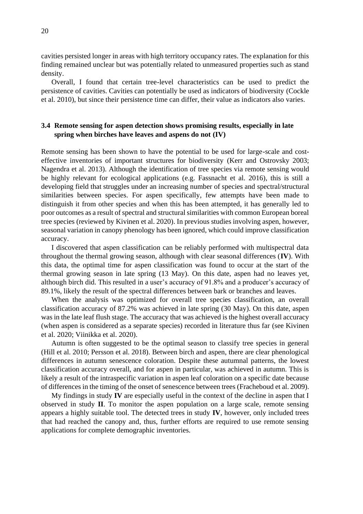cavities persisted longer in areas with high territory occupancy rates. The explanation for this finding remained unclear but was potentially related to unmeasured properties such as stand density.

Overall, I found that certain tree-level characteristics can be used to predict the persistence of cavities. Cavities can potentially be used as indicators of biodiversity (Cockle et al. 2010), but since their persistence time can differ, their value as indicators also varies.

### <span id="page-19-0"></span>**3.4 Remote sensing for aspen detection shows promising results, especially in late spring when birches have leaves and aspens do not (IV)**

Remote sensing has been shown to have the potential to be used for large-scale and costeffective inventories of important structures for biodiversity (Kerr and Ostrovsky 2003; Nagendra et al. 2013). Although the identification of tree species via remote sensing would be highly relevant for ecological applications (e.g. Fassnacht et al. 2016), this is still a developing field that struggles under an increasing number of species and spectral/structural similarities between species. For aspen specifically, few attempts have been made to distinguish it from other species and when this has been attempted, it has generally led to poor outcomes as a result of spectral and structural similarities with common European boreal tree species (reviewed by Kivinen et al. 2020). In previous studies involving aspen, however, seasonal variation in canopy phenology has been ignored, which could improve classification accuracy.

I discovered that aspen classification can be reliably performed with multispectral data throughout the thermal growing season, although with clear seasonal differences (**IV**). With this data, the optimal time for aspen classification was found to occur at the start of the thermal growing season in late spring (13 May). On this date, aspen had no leaves yet, although birch did. This resulted in a user's accuracy of 91.8% and a producer's accuracy of 89.1%, likely the result of the spectral differences between bark or branches and leaves.

When the analysis was optimized for overall tree species classification, an overall classification accuracy of 87.2% was achieved in late spring (30 May). On this date, aspen was in the late leaf flush stage. The accuracy that was achieved is the highest overall accuracy (when aspen is considered as a separate species) recorded in literature thus far (see Kivinen et al. 2020; Viinikka et al. 2020).

Autumn is often suggested to be the optimal season to classify tree species in general (Hill et al. 2010; Persson et al. 2018). Between birch and aspen, there are clear phenological differences in autumn senescence coloration. Despite these autumnal patterns, the lowest classification accuracy overall, and for aspen in particular, was achieved in autumn. This is likely a result of the intraspecific variation in aspen leaf coloration on a specific date because of differences in the timing of the onset of senescence between trees (Fracheboud et al. 2009).

My findings in study **IV** are especially useful in the context of the decline in aspen that I observed in study **II**. To monitor the aspen population on a large scale, remote sensing appears a highly suitable tool. The detected trees in study **IV**, however, only included trees that had reached the canopy and, thus, further efforts are required to use remote sensing applications for complete demographic inventories.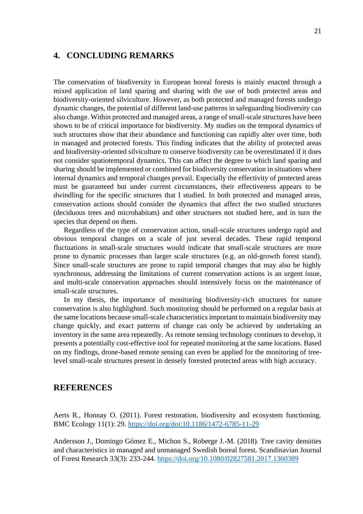### <span id="page-20-0"></span>**4. CONCLUDING REMARKS**

The conservation of biodiversity in European boreal forests is mainly enacted through a mixed application of land sparing and sharing with the use of both protected areas and biodiversity-oriented silviculture. However, as both protected and managed forests undergo dynamic changes, the potential of different land-use patterns in safeguarding biodiversity can also change. Within protected and managed areas, a range of small-scale structures have been shown to be of critical importance for biodiversity. My studies on the temporal dynamics of such structures show that their abundance and functioning can rapidly alter over time, both in managed and protected forests. This finding indicates that the ability of protected areas and biodiversity-oriented silviculture to conserve biodiversity can be overestimated if it does not consider spatiotemporal dynamics. This can affect the degree to which land sparing and sharing should be implemented or combined for biodiversity conservation in situations where internal dynamics and temporal changes prevail. Especially the effectivity of protected areas must be guaranteed but under current circumstances, their effectiveness appears to be dwindling for the specific structures that I studied. In both protected and managed areas, conservation actions should consider the dynamics that affect the two studied structures (deciduous trees and microhabitats) and other structures not studied here, and in turn the species that depend on them.

Regardless of the type of conservation action, small-scale structures undergo rapid and obvious temporal changes on a scale of just several decades. These rapid temporal fluctuations in small-scale structures would indicate that small-scale structures are more prone to dynamic processes than larger scale structures (e.g. an old-growth forest stand). Since small-scale structures are prone to rapid temporal changes that may also be highly synchronous, addressing the limitations of current conservation actions is an urgent issue, and multi-scale conservation approaches should intensively focus on the maintenance of small-scale structures.

In my thesis, the importance of monitoring biodiversity-rich structures for nature conservation is also highlighted. Such monitoring should be performed on a regular basis at the same locations because small-scale characteristics important to maintain biodiversity may change quickly, and exact patterns of change can only be achieved by undertaking an inventory in the same area repeatedly. As remote sensing technology continues to develop, it presents a potentially cost-effective tool for repeated monitoring at the same locations. Based on my findings, drone-based remote sensing can even be applied for the monitoring of treelevel small-scale structures present in densely forested protected areas with high accuracy.

### <span id="page-20-1"></span>**REFERENCES**

Aerts R., Honnay O. (2011). Forest restoration, biodiversity and ecosystem functioning. BMC Ecology 11(1): 29.<https://doi.org/doi:10.1186/1472-6785-11-29>

Andersson J., Domingo Gómez E., Michon S., Roberge J.-M. (2018). Tree cavity densities and characteristics in managed and unmanaged Swedish boreal forest. Scandinavian Journal of Forest Research 33(3): 233-244[. https://doi.org/10.1080/02827581.2017.1360389](https://doi.org/10.1080/02827581.2017.1360389)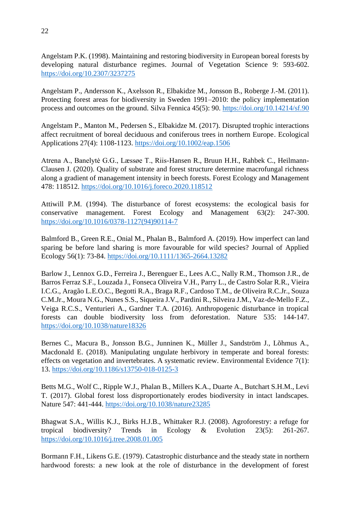Angelstam P.K. (1998). Maintaining and restoring biodiversity in European boreal forests by developing natural disturbance regimes. Journal of Vegetation Science 9: 593-602. <https://doi.org/10.2307/3237275>

Angelstam P., Andersson K., Axelsson R., Elbakidze M., Jonsson B., Roberge J.-M. (2011). Protecting forest areas for biodiversity in Sweden 1991–2010: the policy implementation process and outcomes on the ground. Silva Fennica 45(5): 90.<https://doi.org/10.14214/sf.90>

Angelstam P., Manton M., Pedersen S., Elbakidze M. (2017). Disrupted trophic interactions affect recruitment of boreal deciduous and coniferous trees in northern Europe. Ecological Applications 27(4): 1108-1123[. https://doi.org/10.1002/eap.1506](https://doi.org/10.1002/eap.1506)

Atrena A., Banelytė G.G., Læssøe T., Riis-Hansen R., Bruun H.H., Rahbek C., Heilmann-Clausen J. (2020). Quality of substrate and forest structure determine macrofungal richness along a gradient of management intensity in beech forests. Forest Ecology and Management 478: 118512.<https://doi.org/10.1016/j.foreco.2020.118512>

Attiwill P.M. (1994). The disturbance of forest ecosystems: the ecological basis for conservative management. Forest Ecology and Management 63(2): 247-300. [https://doi.org/10.1016/0378-1127\(94\)90114-7](https://doi.org/10.1016/0378-1127(94)90114-7)

Balmford B., Green R.E., Onial M., Phalan B., Balmford A. (2019). How imperfect can land sparing be before land sharing is more favourable for wild species? Journal of Applied Ecology 56(1): 73-84.<https://doi.org/10.1111/1365-2664.13282>

Barlow J., Lennox G.D., Ferreira J., Berenguer E., Lees A.C., Nally R.M., Thomson J.R., de Barros Ferraz S.F., Louzada J., Fonseca Oliveira V.H., Parry L., de Castro Solar R.R., Vieira I.C.G., Aragão L.E.O.C., Begotti R.A., Braga R.F., Cardoso T.M., de Oliveira R.C.Jr., Souza C.M.Jr., Moura N.G., Nunes S.S., Siqueira J.V., Pardini R., Silveira J.M., Vaz-de-Mello F.Z., Veiga R.C.S., Venturieri A., Gardner T.A. (2016). Anthropogenic disturbance in tropical forests can double biodiversity loss from deforestation. Nature 535: 144-147. <https://doi.org/10.1038/nature18326>

Bernes C., Macura B., Jonsson B.G., Junninen K., Müller J., Sandström J., Lõhmus A., Macdonald E. (2018). Manipulating ungulate herbivory in temperate and boreal forests: effects on vegetation and invertebrates. A systematic review. Environmental Evidence 7(1): 13[. https://doi.org/10.1186/s13750-018-0125-3](https://doi.org/10.1186/s13750-018-0125-3)

Betts M.G., Wolf C., Ripple W.J., Phalan B., Millers K.A., Duarte A., Butchart S.H.M., Levi T. (2017). Global forest loss disproportionately erodes biodiversity in intact landscapes. Nature 547: 441-444.<https://doi.org/10.1038/nature23285>

Bhagwat S.A., Willis K.J., Birks H.J.B., Whittaker R.J. (2008). Agroforestry: a refuge for tropical biodiversity? Trends in Ecology & Evolution 23(5): 261-267. <https://doi.org/10.1016/j.tree.2008.01.005>

Bormann F.H., Likens G.E. (1979). Catastrophic disturbance and the steady state in northern hardwood forests: a new look at the role of disturbance in the development of forest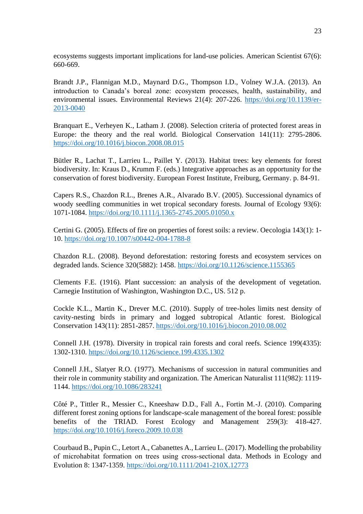ecosystems suggests important implications for land-use policies. American Scientist 67(6): 660-669.

Brandt J.P., Flannigan M.D., Maynard D.G., Thompson I.D., Volney W.J.A. (2013). An introduction to Canada's boreal zone: ecosystem processes, health, sustainability, and environmental issues. Environmental Reviews 21(4): 207-226. [https://doi.org/10.1139/er-](https://doi.org/10.1139/er-2013-0040)[2013-0040](https://doi.org/10.1139/er-2013-0040)

Branquart E., Verheyen K., Latham J. (2008). Selection criteria of protected forest areas in Europe: the theory and the real world. Biological Conservation 141(11): 2795-2806. <https://doi.org/10.1016/j.biocon.2008.08.015>

Bütler R., Lachat T., Larrieu L., Paillet Y. (2013). Habitat trees: key elements for forest biodiversity. In: Kraus D., Krumm F. (eds.) Integrative approaches as an opportunity for the conservation of forest biodiversity. European Forest Institute, Freiburg, Germany. p. 84-91.

Capers R.S., Chazdon R.L., Brenes A.R., Alvarado B.V. (2005). Successional dynamics of woody seedling communities in wet tropical secondary forests. Journal of Ecology 93(6): 1071-1084.<https://doi.org/10.1111/j.1365-2745.2005.01050.x>

Certini G. (2005). Effects of fire on properties of forest soils: a review. Oecologia 143(1): 1- 10[. https://doi.org/10.1007/s00442-004-1788-8](https://doi.org/10.1007/s00442-004-1788-8)

Chazdon R.L. (2008). Beyond deforestation: restoring forests and ecosystem services on degraded lands. Science 320(5882): 1458.<https://doi.org/10.1126/science.1155365>

Clements F.E. (1916). Plant succession: an analysis of the development of vegetation. Carnegie Institution of Washington, Washington D.C., US. 512 p.

Cockle K.L., Martin K., Drever M.C. (2010). Supply of tree-holes limits nest density of cavity-nesting birds in primary and logged subtropical Atlantic forest. Biological Conservation 143(11): 2851-2857.<https://doi.org/10.1016/j.biocon.2010.08.002>

Connell J.H. (1978). Diversity in tropical rain forests and coral reefs. Science 199(4335): 1302-1310.<https://doi.org/10.1126/science.199.4335.1302>

Connell J.H., Slatyer R.O. (1977). Mechanisms of succession in natural communities and their role in community stability and organization. The American Naturalist 111(982): 1119- 1144[. https://doi.org/10.1086/283241](https://doi.org/10.1086/283241)

Côté P., Tittler R., Messier C., Kneeshaw D.D., Fall A., Fortin M.-J. (2010). Comparing different forest zoning options for landscape-scale management of the boreal forest: possible benefits of the TRIAD. Forest Ecology and Management 259(3): 418-427. <https://doi.org/10.1016/j.foreco.2009.10.038>

Courbaud B., Pupin C., Letort A., Cabanettes A., Larrieu L. (2017). Modelling the probability of microhabitat formation on trees using cross‐sectional data. Methods in Ecology and Evolution 8: 1347-1359.<https://doi.org/10.1111/2041-210X.12773>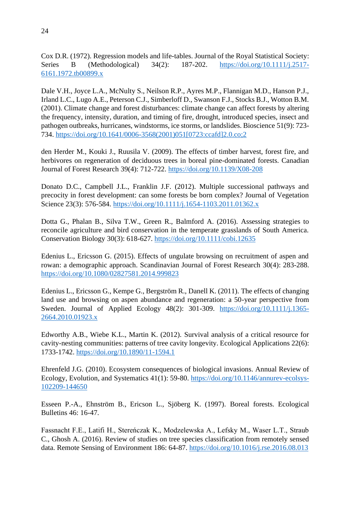Cox D.R. (1972). Regression models and life-tables. Journal of the Royal Statistical Society: Series B (Methodological) 34(2): 187-202. [https://doi.org/10.1111/j.2517-](https://doi.org/10.1111/j.2517-6161.1972.tb00899.x) [6161.1972.tb00899.x](https://doi.org/10.1111/j.2517-6161.1972.tb00899.x)

Dale V.H., Joyce L.A., McNulty S., Neilson R.P., Ayres M.P., Flannigan M.D., Hanson P.J., Irland L.C., Lugo A.E., Peterson C.J., Simberloff D., Swanson F.J., Stocks B.J., Wotton B.M. (2001). Climate change and forest disturbances: climate change can affect forests by altering the frequency, intensity, duration, and timing of fire, drought, introduced species, insect and pathogen outbreaks, hurricanes, windstorms, ice storms, or landslides. Bioscience 51(9): 723- 734[. https://doi.org/10.1641/0006-3568\(2001\)051\[0723:ccafd\]2.0.co;2](https://doi.org/10.1641/0006-3568(2001)051%5b0723:ccafd%5d2.0.co;2)

den Herder M., Kouki J., Ruusila V. (2009). The effects of timber harvest, forest fire, and herbivores on regeneration of deciduous trees in boreal pine-dominated forests. Canadian Journal of Forest Research 39(4): 712-722.<https://doi.org/10.1139/X08-208>

Donato D.C., Campbell J.L., Franklin J.F. (2012). Multiple successional pathways and precocity in forest development: can some forests be born complex? Journal of Vegetation Science 23(3): 576-584[. https://doi.org/10.1111/j.1654-1103.2011.01362.x](https://doi.org/10.1111/j.1654-1103.2011.01362.x)

Dotta G., Phalan B., Silva T.W., Green R., Balmford A. (2016). Assessing strategies to reconcile agriculture and bird conservation in the temperate grasslands of South America. Conservation Biology 30(3): 618-627[. https://doi.org/10.1111/cobi.12635](https://doi.org/10.1111/cobi.12635)

Edenius L., Ericsson G. (2015). Effects of ungulate browsing on recruitment of aspen and rowan: a demographic approach. Scandinavian Journal of Forest Research 30(4): 283-288. <https://doi.org/10.1080/02827581.2014.999823>

Edenius L., Ericsson G., Kempe G., Bergström R., Danell K. (2011). The effects of changing land use and browsing on aspen abundance and regeneration: a 50-year perspective from Sweden. Journal of Applied Ecology  $48(2)$ : 301-309. [https://doi.org/10.1111/j.1365-](https://doi.org/10.1111/j.1365-2664.2010.01923.x) [2664.2010.01923.x](https://doi.org/10.1111/j.1365-2664.2010.01923.x)

Edworthy A.B., Wiebe K.L., Martin K. (2012). Survival analysis of a critical resource for cavity-nesting communities: patterns of tree cavity longevity. Ecological Applications 22(6): 1733-1742.<https://doi.org/10.1890/11-1594.1>

Ehrenfeld J.G. (2010). Ecosystem consequences of biological invasions. Annual Review of Ecology, Evolution, and Systematics 41(1): 59-80[. https://doi.org/10.1146/annurev-ecolsys-](https://doi.org/10.1146/annurev-ecolsys-102209-144650)[102209-144650](https://doi.org/10.1146/annurev-ecolsys-102209-144650)

Esseen P.-A., Ehnström B., Ericson L., Sjöberg K. (1997). Boreal forests. Ecological Bulletins 46: 16-47.

Fassnacht F.E., Latifi H., Stereńczak K., Modzelewska A., Lefsky M., Waser L.T., Straub C., Ghosh A. (2016). Review of studies on tree species classification from remotely sensed data. Remote Sensing of Environment 186: 64-87.<https://doi.org/10.1016/j.rse.2016.08.013>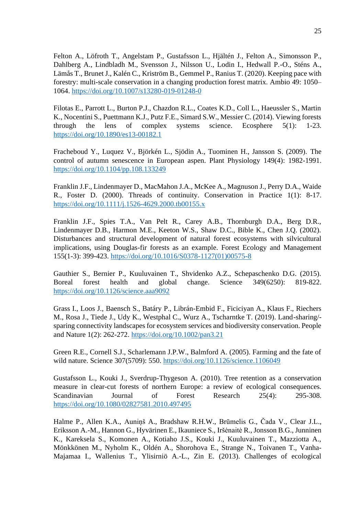Felton A., Löfroth T., Angelstam P., Gustafsson L., Hjältén J., Felton A., Simonsson P., Dahlberg A., Lindbladh M., Svensson J., Nilsson U., Lodin I., Hedwall P.-O., Sténs A., Lämås T., Brunet J., Kalén C., Kriström B., Gemmel P., Ranius T. (2020). Keeping pace with forestry: multi-scale conservation in a changing production forest matrix. Ambio 49: 1050– 1064[. https://doi.org/10.1007/s13280-019-01248-0](https://doi.org/10.1007/s13280-019-01248-0)

Filotas E., Parrott L., Burton P.J., Chazdon R.L., Coates K.D., Coll L., Haeussler S., Martin K., Nocentini S., Puettmann K.J., Putz F.E., Simard S.W., Messier C. (2014). Viewing forests through the lens of complex systems science. Ecosphere 5(1): 1-23. <https://doi.org/10.1890/es13-00182.1>

Fracheboud Y., Luquez V., Björkén L., Sjödin A., Tuominen H., Jansson S. (2009). The control of autumn senescence in European aspen. Plant Physiology 149(4): 1982-1991. <https://doi.org/10.1104/pp.108.133249>

Franklin J.F., Lindenmayer D., MacMahon J.A., McKee A., Magnuson J., Perry D.A., Waide R., Foster D. (2000). Threads of continuity. Conservation in Practice 1(1): 8-17. <https://doi.org/10.1111/j.1526-4629.2000.tb00155.x>

Franklin J.F., Spies T.A., Van Pelt R., Carey A.B., Thornburgh D.A., Berg D.R., Lindenmayer D.B., Harmon M.E., Keeton W.S., Shaw D.C., Bible K., Chen J.Q. (2002). Disturbances and structural development of natural forest ecosystems with silvicultural implications, using Douglas-fir forests as an example. Forest Ecology and Management 155(1-3): 399-423. [https://doi.org/10.1016/S0378-1127\(01\)00575-8](https://doi.org/10.1016/S0378-1127(01)00575-8)

Gauthier S., Bernier P., Kuuluvainen T., Shvidenko A.Z., Schepaschenko D.G. (2015). Boreal forest health and global change. Science 349(6250): 819-822. <https://doi.org/10.1126/science.aaa9092>

Grass I., Loos J., Baensch S., Batáry P., Librán-Embid F., Ficiciyan A., Klaus F., Riechers M., Rosa J., Tiede J., Udy K., Westphal C., Wurz A., Tscharntke T. (2019). Land-sharing/ sparing connectivity landscapes for ecosystem services and biodiversity conservation. People and Nature 1(2): 262-272[. https://doi.org/10.1002/pan3.21](https://doi.org/10.1002/pan3.21)

Green R.E., Cornell S.J., Scharlemann J.P.W., Balmford A. (2005). Farming and the fate of wild nature. Science 307(5709): 550[. https://doi.org/10.1126/science.1106049](https://doi.org/10.1126/science.1106049)

Gustafsson L., Kouki J., Sverdrup-Thygeson A. (2010). Tree retention as a conservation measure in clear-cut forests of northern Europe: a review of ecological consequences. Scandinavian Journal of Forest Research 25(4): 295-308. <https://doi.org/10.1080/02827581.2010.497495>

Halme P., Allen K.A., Auniņš A., Bradshaw R.H.W., Brūmelis G., Čada V., Clear J.L., Eriksson A.-M., Hannon G., Hyvärinen E., Ikauniece S., Iršėnaitė R., Jonsson B.G., Junninen K., Kareksela S., Komonen A., Kotiaho J.S., Kouki J., Kuuluvainen T., Mazziotta A., Mönkkönen M., Nyholm K., Oldén A., Shorohova E., Strange N., Toivanen T., Vanha-Majamaa I., Wallenius T., Ylisirniö A.-L., Zin E. (2013). Challenges of ecological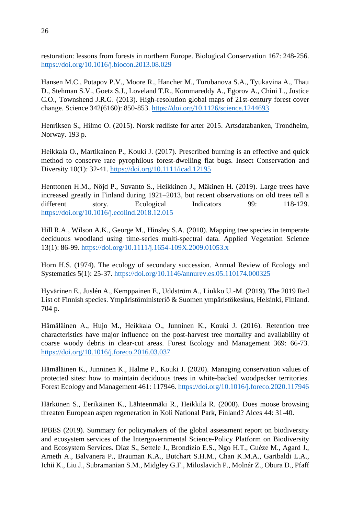restoration: lessons from forests in northern Europe. Biological Conservation 167: 248-256. <https://doi.org/10.1016/j.biocon.2013.08.029>

Hansen M.C., Potapov P.V., Moore R., Hancher M., Turubanova S.A., Tyukavina A., Thau D., Stehman S.V., Goetz S.J., Loveland T.R., Kommareddy A., Egorov A., Chini L., Justice C.O., Townshend J.R.G. (2013). High-resolution global maps of 21st-century forest cover change. Science 342(6160): 850-853.<https://doi.org/10.1126/science.1244693>

Henriksen S., Hilmo O. (2015). Norsk rødliste for arter 2015. Artsdatabanken, Trondheim, Norway. 193 p.

Heikkala O., Martikainen P., Kouki J. (2017). Prescribed burning is an effective and quick method to conserve rare pyrophilous forest-dwelling flat bugs. Insect Conservation and Diversity 10(1): 32-41[. https://doi.org/10.1111/icad.12195](https://doi.org/10.1111/icad.12195)

Henttonen H.M., Nöjd P., Suvanto S., Heikkinen J., Mäkinen H. (2019). Large trees have increased greatly in Finland during 1921–2013, but recent observations on old trees tell a different story. Ecological Indicators 99: 118-129. <https://doi.org/10.1016/j.ecolind.2018.12.015>

Hill R.A., Wilson A.K., George M., Hinsley S.A. (2010). Mapping tree species in temperate deciduous woodland using time-series multi-spectral data. Applied Vegetation Science 13(1): 86-99.<https://doi.org/10.1111/j.1654-109X.2009.01053.x>

Horn H.S. (1974). The ecology of secondary succession. Annual Review of Ecology and Systematics 5(1): 25-37.<https://doi.org/10.1146/annurev.es.05.110174.000325>

Hyvärinen E., Juslén A., Kemppainen E., Uddström A., Liukko U.-M. (2019). The 2019 Red List of Finnish species. Ympäristöministeriö & Suomen ympäristökeskus, Helsinki, Finland. 704 p.

Hämäläinen A., Hujo M., Heikkala O., Junninen K., Kouki J. (2016). Retention tree characteristics have major influence on the post-harvest tree mortality and availability of coarse woody debris in clear-cut areas. Forest Ecology and Management 369: 66-73. <https://doi.org/10.1016/j.foreco.2016.03.037>

Hämäläinen K., Junninen K., Halme P., Kouki J. (2020). Managing conservation values of protected sites: how to maintain deciduous trees in white-backed woodpecker territories. Forest Ecology and Management 461: 117946. <https://doi.org/10.1016/j.foreco.2020.117946>

Härkönen S., Eerikäinen K., Lähteenmäki R., Heikkilä R. (2008). Does moose browsing threaten European aspen regeneration in Koli National Park, Finland? Alces 44: 31-40.

IPBES (2019). Summary for policymakers of the global assessment report on biodiversity and ecosystem services of the Intergovernmental Science-Policy Platform on Biodiversity and Ecosystem Services. Díaz S., Settele J., Brondízio E.S., Ngo H.T., Guèze M., Agard J., Arneth A., Balvanera P., Brauman K.A., Butchart S.H.M., Chan K.M.A., Garibaldi L.A., Ichii K., Liu J., Subramanian S.M., Midgley G.F., Miloslavich P., Molnár Z., Obura D., Pfaff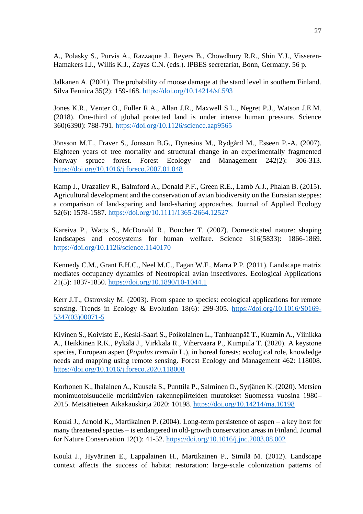A., Polasky S., Purvis A., Razzaque J., Reyers B., Chowdhury R.R., Shin Y.J., Visseren-Hamakers I.J., Willis K.J., Zayas C.N. (eds.). IPBES secretariat, Bonn, Germany. 56 p.

Jalkanen A. (2001). The probability of moose damage at the stand level in southern Finland. Silva Fennica 35(2): 159-168.<https://doi.org/10.14214/sf.593>

Jones K.R., Venter O., Fuller R.A., Allan J.R., Maxwell S.L., Negret P.J., Watson J.E.M. (2018). One-third of global protected land is under intense human pressure. Science 360(6390): 788-791.<https://doi.org/10.1126/science.aap9565>

Jönsson M.T., Fraver S., Jonsson B.G., Dynesius M., Rydgård M., Esseen P.-A. (2007). Eighteen years of tree mortality and structural change in an experimentally fragmented Norway spruce forest. Forest Ecology and Management 242(2): 306-313. <https://doi.org/10.1016/j.foreco.2007.01.048>

Kamp J., Urazaliev R., Balmford A., Donald P.F., Green R.E., Lamb A.J., Phalan B. (2015). Agricultural development and the conservation of avian biodiversity on the Eurasian steppes: a comparison of land-sparing and land-sharing approaches. Journal of Applied Ecology 52(6): 1578-1587.<https://doi.org/10.1111/1365-2664.12527>

Kareiva P., Watts S., McDonald R., Boucher T. (2007). Domesticated nature: shaping landscapes and ecosystems for human welfare. Science 316(5833): 1866-1869. <https://doi.org/10.1126/science.1140170>

Kennedy C.M., Grant E.H.C., Neel M.C., Fagan W.F., Marra P.P. (2011). Landscape matrix mediates occupancy dynamics of Neotropical avian insectivores. Ecological Applications 21(5): 1837-1850.<https://doi.org/10.1890/10-1044.1>

Kerr J.T., Ostrovsky M. (2003). From space to species: ecological applications for remote sensing. Trends in Ecology & Evolution 18(6): 299-305. [https://doi.org/10.1016/S0169-](https://doi.org/10.1016/S0169-5347(03)00071-5) [5347\(03\)00071-5](https://doi.org/10.1016/S0169-5347(03)00071-5)

Kivinen S., Koivisto E., Keski-Saari S., Poikolainen L., Tanhuanpää T., Kuzmin A., Viinikka A., Heikkinen R.K., Pykälä J., Virkkala R., Vihervaara P., Kumpula T. (2020). A keystone species, European aspen (*Populus tremula* L.), in boreal forests: ecological role, knowledge needs and mapping using remote sensing. Forest Ecology and Management 462: 118008. <https://doi.org/10.1016/j.foreco.2020.118008>

Korhonen K., Ihalainen A., Kuusela S., Punttila P., Salminen O., Syrjänen K. (2020). Metsien monimuotoisuudelle merkittävien rakennepiirteiden muutokset Suomessa vuosina 1980– 2015. Metsätieteen Aikakauskirja 2020: 10198.<https://doi.org/10.14214/ma.10198>

Kouki J., Arnold K., Martikainen P. (2004). Long-term persistence of aspen – a key host for many threatened species – is endangered in old-growth conservation areas in Finland. Journal for Nature Conservation 12(1): 41-52[. https://doi.org/10.1016/j.jnc.2003.08.002](https://doi.org/10.1016/j.jnc.2003.08.002)

Kouki J., Hyvärinen E., Lappalainen H., Martikainen P., Similä M. (2012). Landscape context affects the success of habitat restoration: large-scale colonization patterns of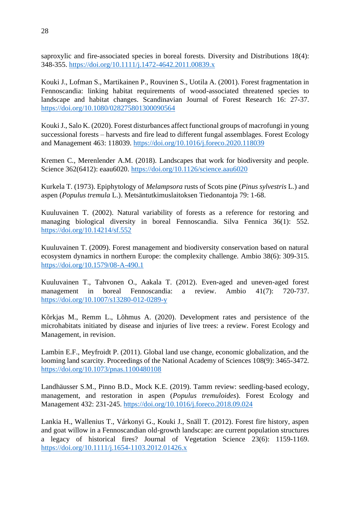saproxylic and fire-associated species in boreal forests. Diversity and Distributions 18(4): 348-355.<https://doi.org/10.1111/j.1472-4642.2011.00839.x>

Kouki J., Lofman S., Martikainen P., Rouvinen S., Uotila A. (2001). Forest fragmentation in Fennoscandia: linking habitat requirements of wood-associated threatened species to landscape and habitat changes. Scandinavian Journal of Forest Research 16: 27-37. <https://doi.org/10.1080/028275801300090564>

Kouki J., Salo K. (2020). Forest disturbances affect functional groups of macrofungi in young successional forests – harvests and fire lead to different fungal assemblages. Forest Ecology and Management 463: 118039[. https://doi.org/10.1016/j.foreco.2020.118039](https://doi.org/10.1016/j.foreco.2020.118039)

Kremen C., Merenlender A.M. (2018). Landscapes that work for biodiversity and people. Science 362(6412): eaau6020.<https://doi.org/10.1126/science.aau6020>

Kurkela T. (1973). Epiphytology of *Melampsora* rusts of Scots pine (*Pinus sylvestris* L.) and aspen (*Populus tremula* L.). Metsäntutkimuslaitoksen Tiedonantoja 79: 1-68.

Kuuluvainen T. (2002). Natural variability of forests as a reference for restoring and managing biological diversity in boreal Fennoscandia. Silva Fennica 36(1): 552. <https://doi.org/10.14214/sf.552>

Kuuluvainen T. (2009). Forest management and biodiversity conservation based on natural ecosystem dynamics in northern Europe: the complexity challenge. Ambio 38(6): 309-315. <https://doi.org/10.1579/08-A-490.1>

Kuuluvainen T., Tahvonen O., Aakala T. (2012). Even-aged and uneven-aged forest management in boreal Fennoscandia: a review. Ambio 41(7): 720-737. <https://doi.org/10.1007/s13280-012-0289-y>

Kõrkjas M., Remm L., Lõhmus A. (2020). Development rates and persistence of the microhabitats initiated by disease and injuries of live trees: a review. Forest Ecology and Management, in revision.

Lambin E.F., Meyfroidt P. (2011). Global land use change, economic globalization, and the looming land scarcity. Proceedings of the National Academy of Sciences 108(9): 3465-3472. <https://doi.org/10.1073/pnas.1100480108>

Landhäusser S.M., Pinno B.D., Mock K.E. (2019). Tamm review: seedling-based ecology, management, and restoration in aspen (*Populus tremuloides*). Forest Ecology and Management 432: 231-245.<https://doi.org/10.1016/j.foreco.2018.09.024>

Lankia H., Wallenius T., Várkonyi G., Kouki J., Snäll T. (2012). Forest fire history, aspen and goat willow in a Fennoscandian old-growth landscape: are current population structures a legacy of historical fires? Journal of Vegetation Science 23(6): 1159-1169. <https://doi.org/10.1111/j.1654-1103.2012.01426.x>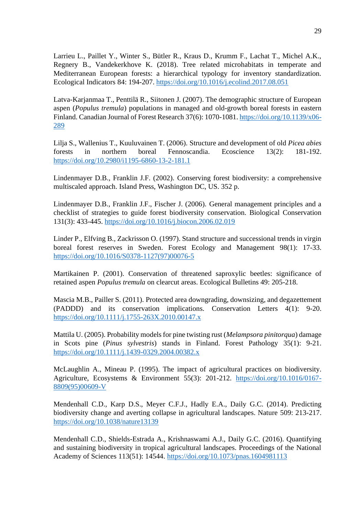Larrieu L., Paillet Y., Winter S., Bütler R., Kraus D., Krumm F., Lachat T., Michel A.K., Regnery B., Vandekerkhove K. (2018). Tree related microhabitats in temperate and Mediterranean European forests: a hierarchical typology for inventory standardization. Ecological Indicators 84: 194-207.<https://doi.org/10.1016/j.ecolind.2017.08.051>

Latva-Karjanmaa T., Penttilä R., Siitonen J. (2007). The demographic structure of European aspen (*Populus tremula*) populations in managed and old-growth boreal forests in eastern Finland. Canadian Journal of Forest Research 37(6): 1070-1081[. https://doi.org/10.1139/x06-](https://doi.org/10.1139/x06-289) [289](https://doi.org/10.1139/x06-289)

Lilja S., Wallenius T., Kuuluvainen T. (2006). Structure and development of old *Picea abies* forests in northern boreal Fennoscandia. Ecoscience 13(2): 181-192. <https://doi.org/10.2980/i1195-6860-13-2-181.1>

Lindenmayer D.B., Franklin J.F. (2002). Conserving forest biodiversity: a comprehensive multiscaled approach. Island Press, Washington DC, US. 352 p.

Lindenmayer D.B., Franklin J.F., Fischer J. (2006). General management principles and a checklist of strategies to guide forest biodiversity conservation. Biological Conservation 131(3): 433-445.<https://doi.org/10.1016/j.biocon.2006.02.019>

Linder P., Elfving B., Zackrisson O. (1997). Stand structure and successional trends in virgin boreal forest reserves in Sweden. Forest Ecology and Management 98(1): 17-33. [https://doi.org/10.1016/S0378-1127\(97\)00076-5](https://doi.org/10.1016/S0378-1127(97)00076-5)

Martikainen P. (2001). Conservation of threatened saproxylic beetles: significance of retained aspen *Populus tremula* on clearcut areas. Ecological Bulletins 49: 205-218.

Mascia M.B., Pailler S. (2011). Protected area downgrading, downsizing, and degazettement (PADDD) and its conservation implications. Conservation Letters 4(1): 9-20. <https://doi.org/10.1111/j.1755-263X.2010.00147.x>

Mattila U. (2005). Probability models for pine twisting rust (*Melampsora pinitorqua*) damage in Scots pine (*Pinus sylvestris*) stands in Finland. Forest Pathology 35(1): 9-21. <https://doi.org/10.1111/j.1439-0329.2004.00382.x>

McLaughlin A., Mineau P. (1995). The impact of agricultural practices on biodiversity. Agriculture, Ecosystems & Environment 55(3): 201-212. [https://doi.org/10.1016/0167-](https://doi.org/10.1016/0167-8809(95)00609-V) [8809\(95\)00609-V](https://doi.org/10.1016/0167-8809(95)00609-V)

Mendenhall C.D., Karp D.S., Meyer C.F.J., Hadly E.A., Daily G.C. (2014). Predicting biodiversity change and averting collapse in agricultural landscapes. Nature 509: 213-217. <https://doi.org/10.1038/nature13139>

Mendenhall C.D., Shields-Estrada A., Krishnaswami A.J., Daily G.C. (2016). Quantifying and sustaining biodiversity in tropical agricultural landscapes. Proceedings of the National Academy of Sciences 113(51): 14544.<https://doi.org/10.1073/pnas.1604981113>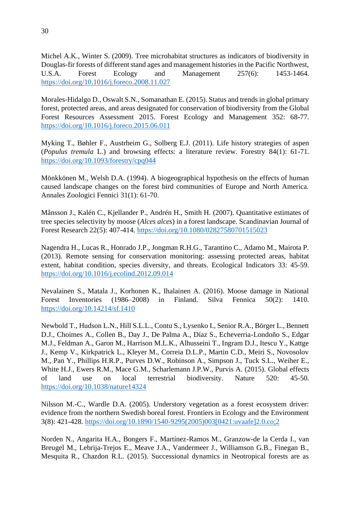Michel A.K., Winter S. (2009). Tree microhabitat structures as indicators of biodiversity in Douglas-fir forests of different stand ages and management histories in the Pacific Northwest, U.S.A. Forest Ecology and Management 257(6): 1453-1464. <https://doi.org/10.1016/j.foreco.2008.11.027>

Morales-Hidalgo D., Oswalt S.N., Somanathan E. (2015). Status and trends in global primary forest, protected areas, and areas designated for conservation of biodiversity from the Global Forest Resources Assessment 2015. Forest Ecology and Management 352: 68-77. <https://doi.org/10.1016/j.foreco.2015.06.011>

Myking T., Bøhler F., Austrheim G., Solberg E.J. (2011). Life history strategies of aspen (*Populus tremula* L.) and browsing effects: a literature review. Forestry 84(1): 61-71. <https://doi.org/10.1093/forestry/cpq044>

Mönkkönen M., Welsh D.A. (1994). A biogeographical hypothesis on the effects of human caused landscape changes on the forest bird communities of Europe and North America. Annales Zoologici Fennici 31(1): 61-70.

Månsson J., Kalén C., Kjellander P., Andrén H., Smith H. (2007). Quantitative estimates of tree species selectivity by moose (*Alces alces*) in a forest landscape. Scandinavian Journal of Forest Research 22(5): 407-414[. https://doi.org/10.1080/02827580701515023](https://doi.org/10.1080/02827580701515023)

Nagendra H., Lucas R., Honrado J.P., Jongman R.H.G., Tarantino C., Adamo M., Mairota P. (2013). Remote sensing for conservation monitoring: assessing protected areas, habitat extent, habitat condition, species diversity, and threats. Ecological Indicators 33: 45-59. <https://doi.org/10.1016/j.ecolind.2012.09.014>

Nevalainen S., Matala J., Korhonen K., Ihalainen A. (2016). Moose damage in National Forest Inventories (1986–2008) in Finland. Silva Fennica 50(2): 1410. <https://doi.org/10.14214/sf.1410>

Newbold T., Hudson L.N., Hill S.L.L., Contu S., Lysenko I., Senior R.A., Börger L., Bennett D.J., Choimes A., Collen B., Day J., De Palma A., Díaz S., Echeverria-Londoño S., Edgar M.J., Feldman A., Garon M., Harrison M.L.K., Alhusseini T., Ingram D.J., Itescu Y., Kattge J., Kemp V., Kirkpatrick L., Kleyer M., Correia D.L.P., Martin C.D., Meiri S., Novosolov M., Pan Y., Phillips H.R.P., Purves D.W., Robinson A., Simpson J., Tuck S.L., Weiher E., White H.J., Ewers R.M., Mace G.M., Scharlemann J.P.W., Purvis A. (2015). Global effects of land use on local terrestrial biodiversity. Nature 520: 45-50. <https://doi.org/10.1038/nature14324>

Nilsson M.-C., Wardle D.A. (2005). Understory vegetation as a forest ecosystem driver: evidence from the northern Swedish boreal forest. Frontiers in Ecology and the Environment 3(8): 421-428. [https://doi.org/10.1890/1540-9295\(2005\)003\[0421:uvaafe\]2.0.co;2](https://doi.org/10.1890/1540-9295(2005)003%5b0421:uvaafe%5d2.0.co;2)

Norden N., Angarita H.A., Bongers F., Martínez-Ramos M., Granzow-de la Cerda I., van Breugel M., Lebrija-Trejos E., Meave J.A., Vandermeer J., Williamson G.B., Finegan B., Mesquita R., Chazdon R.L. (2015). Successional dynamics in Neotropical forests are as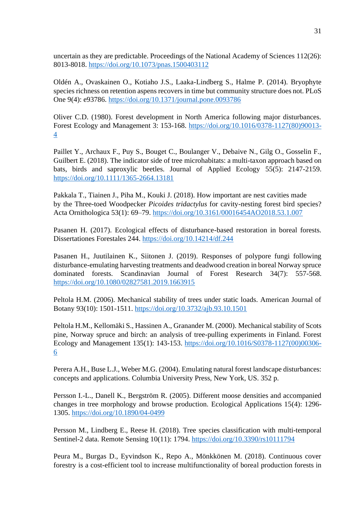uncertain as they are predictable. Proceedings of the National Academy of Sciences 112(26): 8013-8018.<https://doi.org/10.1073/pnas.1500403112>

Oldén A., Ovaskainen O., Kotiaho J.S., Laaka-Lindberg S., Halme P. (2014). Bryophyte species richness on retention aspens recovers in time but community structure does not. PLoS One 9(4): e93786.<https://doi.org/10.1371/journal.pone.0093786>

Oliver C.D. (1980). Forest development in North America following major disturbances. Forest Ecology and Management 3: 153-168. [https://doi.org/10.1016/0378-1127\(80\)90013-](https://doi.org/10.1016/0378-1127(80)90013-4) [4](https://doi.org/10.1016/0378-1127(80)90013-4)

Paillet Y., Archaux F., Puy S., Bouget C., Boulanger V., Debaive N., Gilg O., Gosselin F., Guilbert E. (2018). The indicator side of tree microhabitats: a multi-taxon approach based on bats, birds and saproxylic beetles. Journal of Applied Ecology 55(5): 2147-2159. <https://doi.org/10.1111/1365-2664.13181>

Pakkala T., Tiainen J., Piha M., Kouki J. (2018). How important are nest cavities made by the Three-toed Woodpecker *Picoides tridactylus* for cavity-nesting forest bird species? Acta Ornithologica 53(1): 69–79.<https://doi.org/10.3161/00016454AO2018.53.1.007>

Pasanen H. (2017). Ecological effects of disturbance-based restoration in boreal forests. Dissertationes Forestales 244.<https://doi.org/10.14214/df.244>

Pasanen H., Juutilainen K., Siitonen J. (2019). Responses of polypore fungi following disturbance-emulating harvesting treatments and deadwood creation in boreal Norway spruce dominated forests. Scandinavian Journal of Forest Research 34(7): 557-568. <https://doi.org/10.1080/02827581.2019.1663915>

Peltola H.M. (2006). Mechanical stability of trees under static loads. American Journal of Botany 93(10): 1501-1511.<https://doi.org/10.3732/ajb.93.10.1501>

Peltola H.M., Kellomäki S., Hassinen A., Granander M. (2000). Mechanical stability of Scots pine, Norway spruce and birch: an analysis of tree-pulling experiments in Finland. Forest Ecology and Management 135(1): 143-153. [https://doi.org/10.1016/S0378-1127\(00\)00306-](https://doi.org/10.1016/S0378-1127(00)00306-6) [6](https://doi.org/10.1016/S0378-1127(00)00306-6)

Perera A.H., Buse L.J., Weber M.G. (2004). Emulating natural forest landscape disturbances: concepts and applications. Columbia University Press, New York, US. 352 p.

Persson I.-L., Danell K., Bergström R. (2005). Different moose densities and accompanied changes in tree morphology and browse production. Ecological Applications 15(4): 1296- 1305. <https://doi.org/10.1890/04-0499>

Persson M., Lindberg E., Reese H. (2018). Tree species classification with multi-temporal Sentinel-2 data. Remote Sensing 10(11): 1794[. https://doi.org/10.3390/rs10111794](https://doi.org/10.3390/rs10111794)

Peura M., Burgas D., Eyvindson K., Repo A., Mönkkönen M. (2018). Continuous cover forestry is a cost-efficient tool to increase multifunctionality of boreal production forests in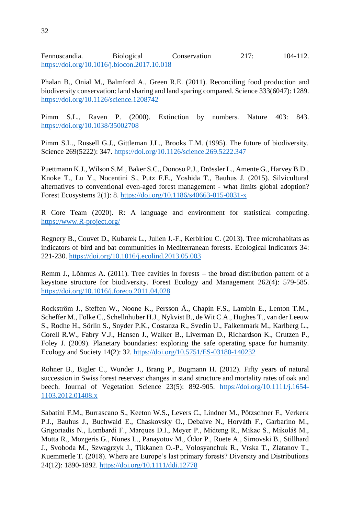Fennoscandia. Biological Conservation 217: 104-112. <https://doi.org/10.1016/j.biocon.2017.10.018>

Phalan B., Onial M., Balmford A., Green R.E. (2011). Reconciling food production and biodiversity conservation: land sharing and land sparing compared. Science 333(6047): 1289. <https://doi.org/10.1126/science.1208742>

Pimm S.L., Raven P. (2000). Extinction by numbers. Nature 403: 843. <https://doi.org/10.1038/35002708>

Pimm S.L., Russell G.J., Gittleman J.L., Brooks T.M. (1995). The future of biodiversity. Science 269(5222): 347.<https://doi.org/10.1126/science.269.5222.347>

Puettmann K.J., Wilson S.M., Baker S.C., Donoso P.J., Drössler L., Amente G., Harvey B.D., Knoke T., Lu Y., Nocentini S., Putz F.E., Yoshida T., Bauhus J. (2015). Silvicultural alternatives to conventional even-aged forest management - what limits global adoption? Forest Ecosystems 2(1): 8.<https://doi.org/10.1186/s40663-015-0031-x>

R Core Team (2020). R: A language and environment for statistical computing. [https://www.R-project.org/](https://www.r-project.org/)

Regnery B., Couvet D., Kubarek L., Julien J.-F., Kerbiriou C. (2013). Tree microhabitats as indicators of bird and bat communities in Mediterranean forests. Ecological Indicators 34: 221-230.<https://doi.org/10.1016/j.ecolind.2013.05.003>

Remm J., Lõhmus A. (2011). Tree cavities in forests – the broad distribution pattern of a keystone structure for biodiversity. Forest Ecology and Management 262(4): 579-585. <https://doi.org/10.1016/j.foreco.2011.04.028>

Rockström J., Steffen W., Noone K., Persson Å., Chapin F.S., Lambin E., Lenton T.M., Scheffer M., Folke C., Schellnhuber H.J., Nykvist B., de Wit C.A., Hughes T., van der Leeuw S., Rodhe H., Sörlin S., Snyder P.K., Costanza R., Svedin U., Falkenmark M., Karlberg L., Corell R.W., Fabry V.J., Hansen J., Walker B., Liverman D., Richardson K., Crutzen P., Foley J. (2009). Planetary boundaries: exploring the safe operating space for humanity. Ecology and Society 14(2): 32.<https://doi.org/10.5751/ES-03180-140232>

Rohner B., Bigler C., Wunder J., Brang P., Bugmann H. (2012). Fifty years of natural succession in Swiss forest reserves: changes in stand structure and mortality rates of oak and beech. Journal of Vegetation Science 23(5): 892-905. [https://doi.org/10.1111/j.1654-](https://doi.org/10.1111/j.1654-1103.2012.01408.x) [1103.2012.01408.x](https://doi.org/10.1111/j.1654-1103.2012.01408.x)

Sabatini F.M., Burrascano S., Keeton W.S., Levers C., Lindner M., Pötzschner F., Verkerk P.J., Bauhus J., Buchwald E., Chaskovsky O., Debaive N., Horváth F., Garbarino M., Grigoriadis N., Lombardi F., Marques D.I., Meyer P., Midteng R., Mikac S., Mikoláš M., Motta R., Mozgeris G., Nunes L., Panayotov M., Ódor P., Ruete A., Simovski B., Stillhard J., Svoboda M., Szwagrzyk J., Tikkanen O.-P., Volosyanchuk R., Vrska T., Zlatanov T., Kuemmerle T. (2018). Where are Europe's last primary forests? Diversity and Distributions 24(12): 1890-1892.<https://doi.org/10.1111/ddi.12778>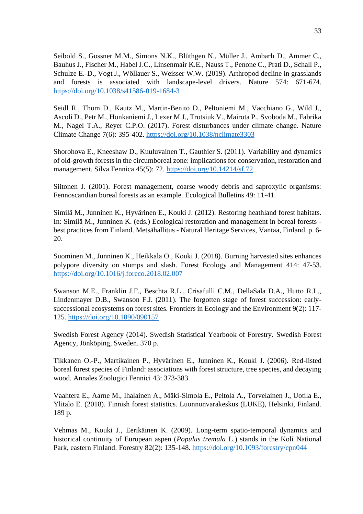Seibold S., Gossner M.M., Simons N.K., Blüthgen N., Müller J., Ambarlı D., Ammer C., Bauhus J., Fischer M., Habel J.C., Linsenmair K.E., Nauss T., Penone C., Prati D., Schall P., Schulze E.-D., Vogt J., Wöllauer S., Weisser W.W. (2019). Arthropod decline in grasslands and forests is associated with landscape-level drivers. Nature 574: 671-674. <https://doi.org/10.1038/s41586-019-1684-3>

Seidl R., Thom D., Kautz M., Martin-Benito D., Peltoniemi M., Vacchiano G., Wild J., Ascoli D., Petr M., Honkaniemi J., Lexer M.J., Trotsiuk V., Mairota P., Svoboda M., Fabrika M., Nagel T.A., Reyer C.P.O. (2017). Forest disturbances under climate change. Nature Climate Change 7(6): 395-402.<https://doi.org/10.1038/nclimate3303>

Shorohova E., Kneeshaw D., Kuuluvainen T., Gauthier S. (2011). Variability and dynamics of old-growth forests in the circumboreal zone: implications for conservation, restoration and management. Silva Fennica 45(5): 72.<https://doi.org/10.14214/sf.72>

Siitonen J. (2001). Forest management, coarse woody debris and saproxylic organisms: Fennoscandian boreal forests as an example. Ecological Bulletins 49: 11-41.

Similä M., Junninen K., Hyvärinen E., Kouki J. (2012). Restoring heathland forest habitats. In: Similä M., Junninen K. (eds.) Ecological restoration and management in boreal forests best practices from Finland. Metsähallitus - Natural Heritage Services, Vantaa, Finland. p. 6- 20.

Suominen M., Junninen K., Heikkala O., Kouki J. (2018). Burning harvested sites enhances polypore diversity on stumps and slash. Forest Ecology and Management 414: 47-53. <https://doi.org/10.1016/j.foreco.2018.02.007>

Swanson M.E., Franklin J.F., Beschta R.L., Crisafulli C.M., DellaSala D.A., Hutto R.L., Lindenmayer D.B., Swanson F.J. (2011). The forgotten stage of forest succession: earlysuccessional ecosystems on forest sites. Frontiers in Ecology and the Environment 9(2): 117- 125[. https://doi.org/10.1890/090157](https://doi.org/10.1890/090157)

Swedish Forest Agency (2014). Swedish Statistical Yearbook of Forestry. Swedish Forest Agency, Jönköping, Sweden. 370 p.

Tikkanen O.-P., Martikainen P., Hyvärinen E., Junninen K., Kouki J. (2006). Red-listed boreal forest species of Finland: associations with forest structure, tree species, and decaying wood. Annales Zoologici Fennici 43: 373-383.

Vaahtera E., Aarne M., Ihalainen A., Mäki-Simola E., Peltola A., Torvelainen J., Uotila E., Ylitalo E. (2018). Finnish forest statistics. Luonnonvarakeskus (LUKE), Helsinki, Finland. 189 p.

Vehmas M., Kouki J., Eerikäinen K. (2009). Long-term spatio-temporal dynamics and historical continuity of European aspen (*Populus tremula* L.) stands in the Koli National Park, eastern Finland. Forestry 82(2): 135-148[. https://doi.org/10.1093/forestry/cpn044](https://doi.org/10.1093/forestry/cpn044)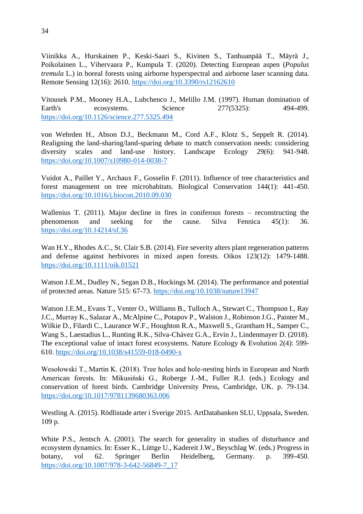Viinikka A., Hurskainen P., Keski-Saari S., Kivinen S., Tanhuanpää T., Mäyrä J., Poikolainen L., Vihervaara P., Kumpula T. (2020). Detecting European aspen (*Populus tremula* L.) in boreal forests using airborne hyperspectral and airborne laser scanning data. Remote Sensing 12(16): 2610.<https://doi.org/10.3390/rs12162610>

Vitousek P.M., Mooney H.A., Lubchenco J., Melillo J.M. (1997). Human domination of Earth's ecosystems. Science 277(5325): 494-499. <https://doi.org/10.1126/science.277.5325.494>

von Wehrden H., Abson D.J., Beckmann M., Cord A.F., Klotz S., Seppelt R. (2014). Realigning the land-sharing/land-sparing debate to match conservation needs: considering diversity scales and land-use history. Landscape Ecology 29(6): 941-948. <https://doi.org/10.1007/s10980-014-0038-7>

Vuidot A., Paillet Y., Archaux F., Gosselin F. (2011). Influence of tree characteristics and forest management on tree microhabitats. Biological Conservation 144(1): 441-450. <https://doi.org/10.1016/j.biocon.2010.09.030>

Wallenius T. (2011). Major decline in fires in coniferous forests – reconstructing the phenomenon and seeking for the cause. Silva Fennica 45(1): 36. <https://doi.org/10.14214/sf.36>

Wan H.Y., Rhodes A.C., St. Clair S.B. (2014). Fire severity alters plant regeneration patterns and defense against herbivores in mixed aspen forests. Oikos 123(12): 1479-1488. <https://doi.org/10.1111/oik.01521>

Watson J.E.M., Dudley N., Segan D.B., Hockings M. (2014). The performance and potential of protected areas. Nature 515: 67-73.<https://doi.org/10.1038/nature13947>

Watson J.E.M., Evans T., Venter O., Williams B., Tulloch A., Stewart C., Thompson I., Ray J.C., Murray K., Salazar A., McAlpine C., Potapov P., Walston J., Robinson J.G., Painter M., Wilkie D., Filardi C., Laurance W.F., Houghton R.A., Maxwell S., Grantham H., Samper C., Wang S., Laestadius L., Runting R.K., Silva-Chávez G.A., Ervin J., Lindenmayer D. (2018). The exceptional value of intact forest ecosystems. Nature Ecology & Evolution 2(4): 599- 610[. https://doi.org/10.1038/s41559-018-0490-x](https://doi.org/10.1038/s41559-018-0490-x)

Wesołowski T., Martin K. (2018). Tree holes and hole-nesting birds in European and North American forests. In: Mikusiński G., Roberge J.-M., Fuller R.J. (eds.) Ecology and conservation of forest birds. Cambridge University Press, Cambridge, UK. p. 79-134. <https://doi.org/10.1017/9781139680363.006>

Westling A. (2015). Rödlistade arter i Sverige 2015. ArtDatabanken SLU, Uppsala, Sweden. 109 p.

White P.S., Jentsch A. (2001). The search for generality in studies of disturbance and ecosystem dynamics. In: Esser K., Lüttge U., Kadereit J.W., Beyschlag W. (eds.) Progress in botany, vol 62. Springer Berlin Heidelberg, Germany. p. 399-450. [https://doi.org/10.1007/978-3-642-56849-7\\_17](https://doi.org/10.1007/978-3-642-56849-7_17)